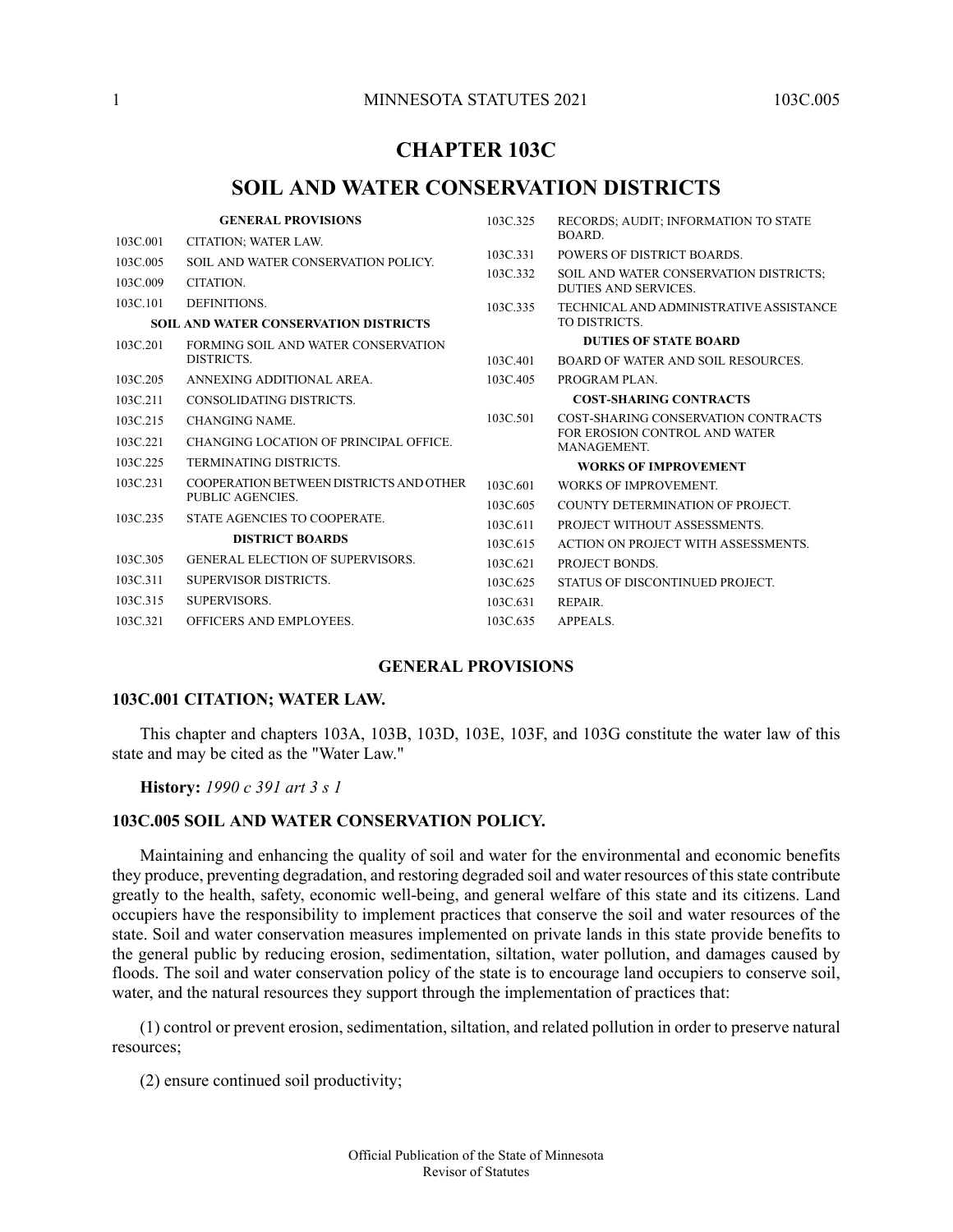## **CHAPTER 103C**

# **SOIL AND WATER CONSERVATION DISTRICTS**

|                                              | <b>GENERAL PROVISIONS</b>                                    | 103C.325 | RECORDS; AUDIT; INFORMATION TO STATE                           |
|----------------------------------------------|--------------------------------------------------------------|----------|----------------------------------------------------------------|
| 103C.001                                     | CITATION; WATER LAW.                                         |          | BOARD.                                                         |
| 103C.005                                     | SOIL AND WATER CONSERVATION POLICY.                          | 103C.331 | POWERS OF DISTRICT BOARDS.                                     |
| 103C.009                                     | CITATION.                                                    | 103C.332 | SOIL AND WATER CONSERVATION DISTRICTS;<br>DUTIES AND SERVICES. |
| 103C.101                                     | DEFINITIONS.                                                 | 103C.335 | TECHNICAL AND ADMINISTRATIVE ASSISTANCE                        |
| <b>SOIL AND WATER CONSERVATION DISTRICTS</b> |                                                              |          | TO DISTRICTS.                                                  |
| 103C.201                                     | FORMING SOIL AND WATER CONSERVATION<br>DISTRICTS.            |          | <b>DUTIES OF STATE BOARD</b>                                   |
|                                              |                                                              | 103C.401 | BOARD OF WATER AND SOIL RESOURCES.                             |
| 103C.205                                     | ANNEXING ADDITIONAL AREA.                                    | 103C.405 | PROGRAM PLAN.                                                  |
| 103C.211                                     | CONSOLIDATING DISTRICTS.                                     |          | <b>COST-SHARING CONTRACTS</b>                                  |
| 103C.215                                     | <b>CHANGING NAME.</b>                                        | 103C.501 | COST-SHARING CONSERVATION CONTRACTS                            |
| 103C.221                                     | <b>CHANGING LOCATION OF PRINCIPAL OFFICE.</b>                |          | FOR EROSION CONTROL AND WATER<br>MANAGEMENT.                   |
| 103C.225                                     | <b>TERMINATING DISTRICTS.</b>                                |          | <b>WORKS OF IMPROVEMENT</b>                                    |
| 103C.231                                     | COOPER ATION BETWEEN DISTRICTS AND OTHER<br>PUBLIC AGENCIES. | 103C.601 | <b>WORKS OF IMPROVEMENT.</b>                                   |
|                                              |                                                              | 103C.605 | COUNTY DETERMINATION OF PROJECT.                               |
| 103C.235                                     | STATE AGENCIES TO COOPERATE.                                 | 103C.611 | PROJECT WITHOUT ASSESSMENTS.                                   |
|                                              | <b>DISTRICT BOARDS</b>                                       | 103C.615 | ACTION ON PROJECT WITH ASSESSMENTS.                            |
| 103C.305                                     | <b>GENERAL ELECTION OF SUPERVISORS.</b>                      | 103C.621 | PROJECT BONDS.                                                 |
| 103C.311                                     | SUPERVISOR DISTRICTS.                                        | 103C.625 | STATUS OF DISCONTINUED PROJECT.                                |
| 103C.315                                     | SUPERVISORS.                                                 | 103C.631 | REPAIR.                                                        |
| 103C.321                                     | <b>OFFICERS AND EMPLOYEES.</b>                               | 103C.635 | APPEALS.                                                       |

### **GENERAL PROVISIONS**

#### <span id="page-0-1"></span><span id="page-0-0"></span>**103C.001 CITATION; WATER LAW.**

<span id="page-0-2"></span>This chapter and chapters 103A, 103B, 103D, 103E, 103F, and 103G constitute the water law of this state and may be cited as the "Water Law."

**History:** *1990 c 391 art 3 s 1*

### **103C.005 SOIL AND WATER CONSERVATION POLICY.**

Maintaining and enhancing the quality of soil and water for the environmental and economic benefits they produce, preventing degradation, and restoring degraded soil and water resources of thisstate contribute greatly to the health, safety, economic well-being, and general welfare of this state and its citizens. Land occupiers have the responsibility to implement practices that conserve the soil and water resources of the state. Soil and water conservation measures implemented on private lands in this state provide benefits to the general public by reducing erosion, sedimentation, siltation, water pollution, and damages caused by floods. The soil and water conservation policy of the state is to encourage land occupiers to conserve soil, water, and the natural resources they support through the implementation of practices that:

(1) control or prevent erosion, sedimentation, siltation, and related pollution in order to preserve natural resources;

(2) ensure continued soil productivity;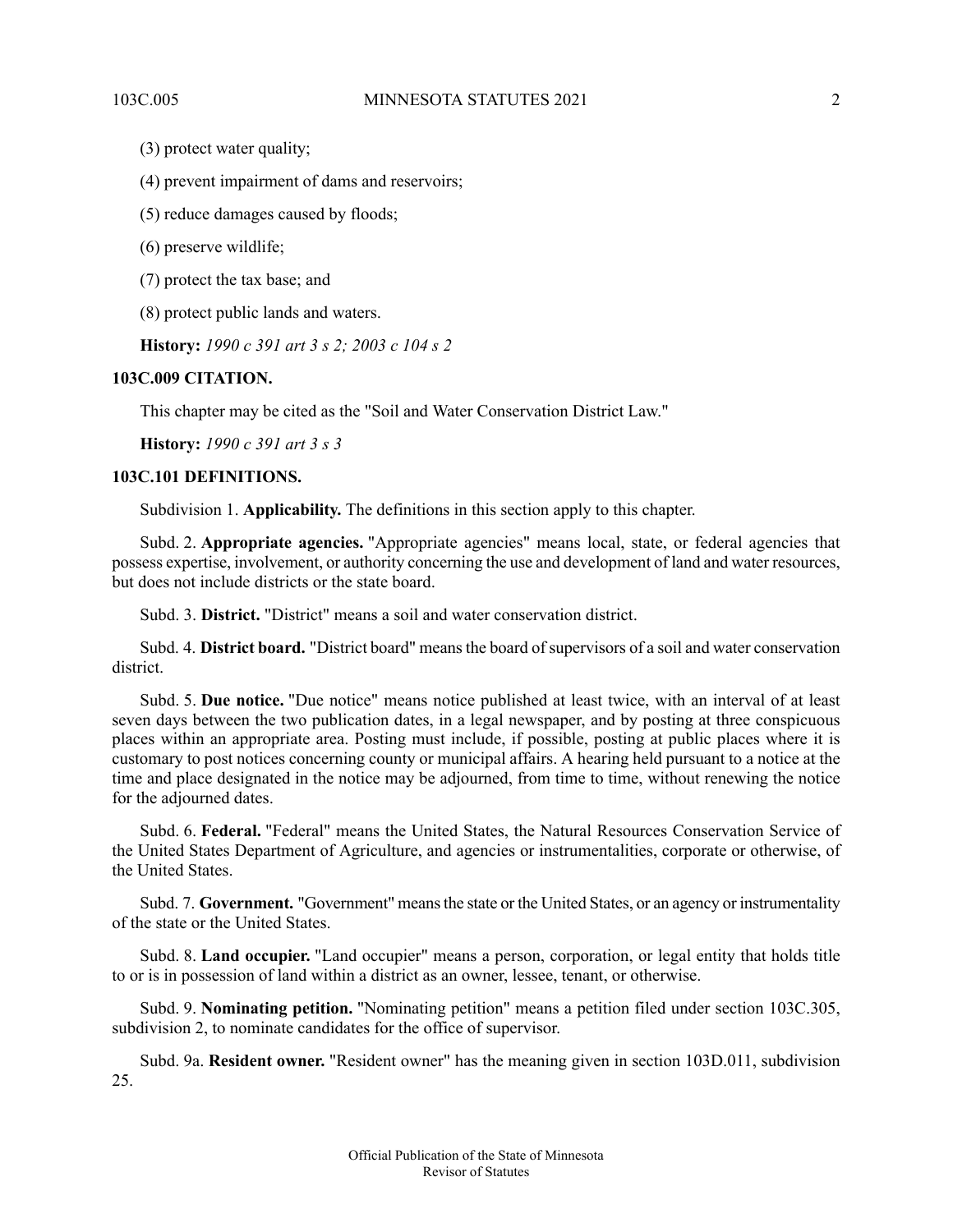(3) protect water quality;

(4) prevent impairment of dams and reservoirs;

(5) reduce damages caused by floods;

(6) preserve wildlife;

(7) protect the tax base; and

<span id="page-1-0"></span>(8) protect public lands and waters.

**History:** *1990 c 391 art 3 s 2; 2003 c 104 s 2*

### <span id="page-1-1"></span>**103C.009 CITATION.**

This chapter may be cited as the "Soil and Water Conservation District Law."

**History:** *1990 c 391 art 3 s 3*

#### **103C.101 DEFINITIONS.**

Subdivision 1. **Applicability.** The definitions in this section apply to this chapter.

Subd. 2. **Appropriate agencies.** "Appropriate agencies" means local, state, or federal agencies that possess expertise, involvement, or authority concerning the use and development of land and water resources, but does not include districts or the state board.

Subd. 3. **District.** "District" means a soil and water conservation district.

Subd. 4. **District board.** "District board" means the board of supervisors of a soil and water conservation district.

Subd. 5. **Due notice.** "Due notice" means notice published at least twice, with an interval of at least seven days between the two publication dates, in a legal newspaper, and by posting at three conspicuous places within an appropriate area. Posting must include, if possible, posting at public places where it is customary to post notices concerning county or municipal affairs. A hearing held pursuant to a notice at the time and place designated in the notice may be adjourned, from time to time, without renewing the notice for the adjourned dates.

Subd. 6. **Federal.** "Federal" means the United States, the Natural Resources Conservation Service of the United States Department of Agriculture, and agencies or instrumentalities, corporate or otherwise, of the United States.

Subd. 7. **Government.** "Government" meansthe state or the United States, or an agency or instrumentality of the state or the United States.

Subd. 8. **Land occupier.** "Land occupier" means a person, corporation, or legal entity that holds title to or is in possession of land within a district as an owner, lessee, tenant, or otherwise.

Subd. 9. **Nominating petition.** "Nominating petition" means a petition filed under section 103C.305, subdivision 2, to nominate candidates for the office of supervisor.

Subd. 9a. **Resident owner.** "Resident owner" has the meaning given in section 103D.011, subdivision 25.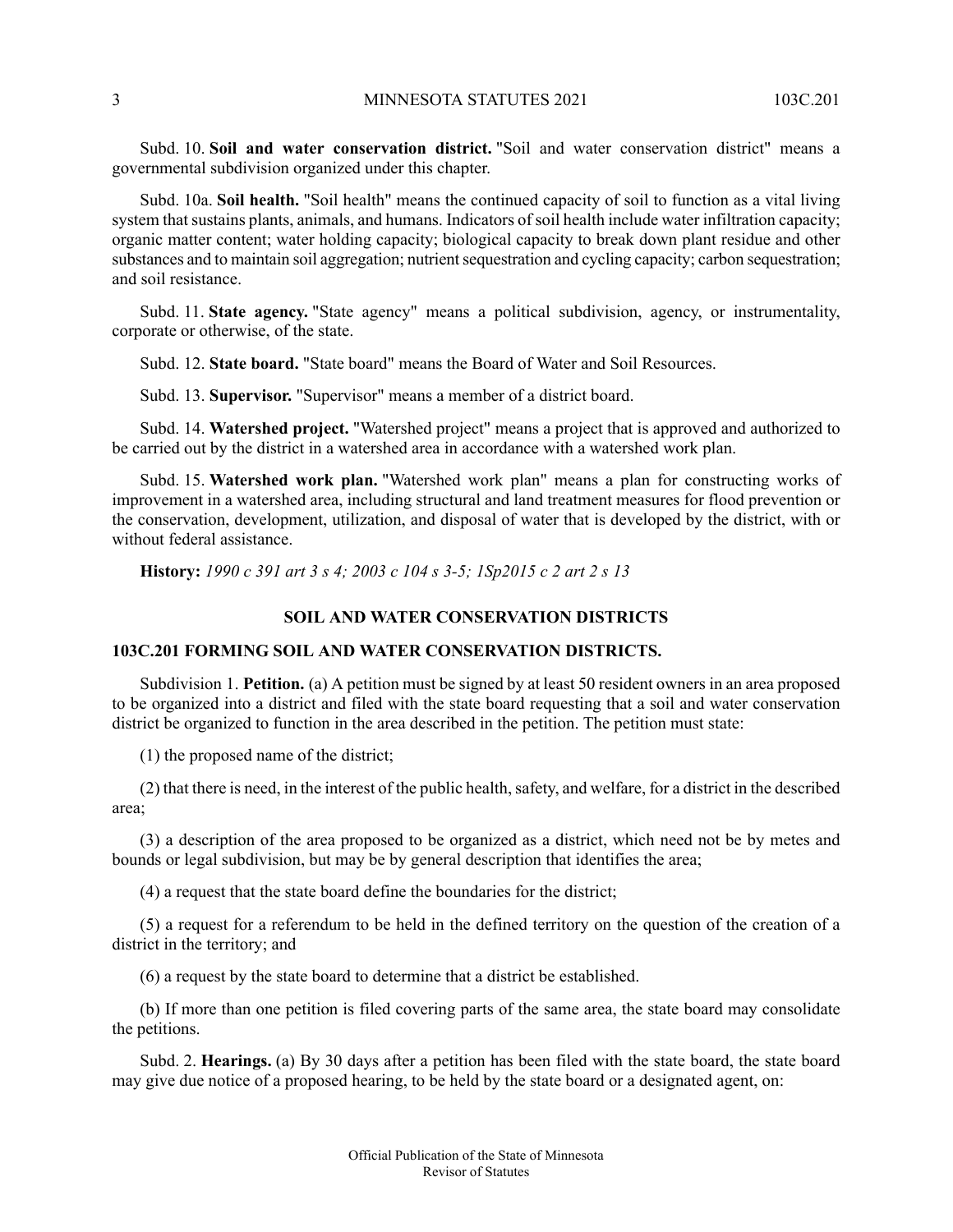Subd. 10. **Soil and water conservation district.** "Soil and water conservation district" means a governmental subdivision organized under this chapter.

Subd. 10a. **Soil health.** "Soil health" means the continued capacity of soil to function as a vital living system that sustains plants, animals, and humans. Indicators of soil health include water infiltration capacity; organic matter content; water holding capacity; biological capacity to break down plant residue and other substances and to maintain soil aggregation; nutrient sequestration and cycling capacity; carbon sequestration; and soil resistance.

Subd. 11. **State agency.** "State agency" means a political subdivision, agency, or instrumentality, corporate or otherwise, of the state.

Subd. 12. **State board.** "State board" means the Board of Water and Soil Resources.

Subd. 13. **Supervisor.** "Supervisor" means a member of a district board.

Subd. 14. **Watershed project.** "Watershed project" means a project that is approved and authorized to be carried out by the district in a watershed area in accordance with a watershed work plan.

Subd. 15. **Watershed work plan.** "Watershed work plan" means a plan for constructing works of improvement in a watershed area, including structural and land treatment measures for flood prevention or the conservation, development, utilization, and disposal of water that is developed by the district, with or without federal assistance.

<span id="page-2-1"></span><span id="page-2-0"></span>**History:** *1990 c 391 art 3 s 4; 2003 c 104 s 3-5; 1Sp2015 c 2 art 2 s 13*

### **SOIL AND WATER CONSERVATION DISTRICTS**

### **103C.201 FORMING SOIL AND WATER CONSERVATION DISTRICTS.**

Subdivision 1. **Petition.** (a) A petition must be signed by at least 50 resident owners in an area proposed to be organized into a district and filed with the state board requesting that a soil and water conservation district be organized to function in the area described in the petition. The petition must state:

(1) the proposed name of the district;

(2) that there is need, in the interest of the public health, safety, and welfare, for a district in the described area;

(3) a description of the area proposed to be organized as a district, which need not be by metes and bounds or legal subdivision, but may be by general description that identifies the area;

(4) a request that the state board define the boundaries for the district;

(5) a request for a referendum to be held in the defined territory on the question of the creation of a district in the territory; and

(6) a request by the state board to determine that a district be established.

(b) If more than one petition is filed covering parts of the same area, the state board may consolidate the petitions.

Subd. 2. **Hearings.** (a) By 30 days after a petition has been filed with the state board, the state board may give due notice of a proposed hearing, to be held by the state board or a designated agent, on: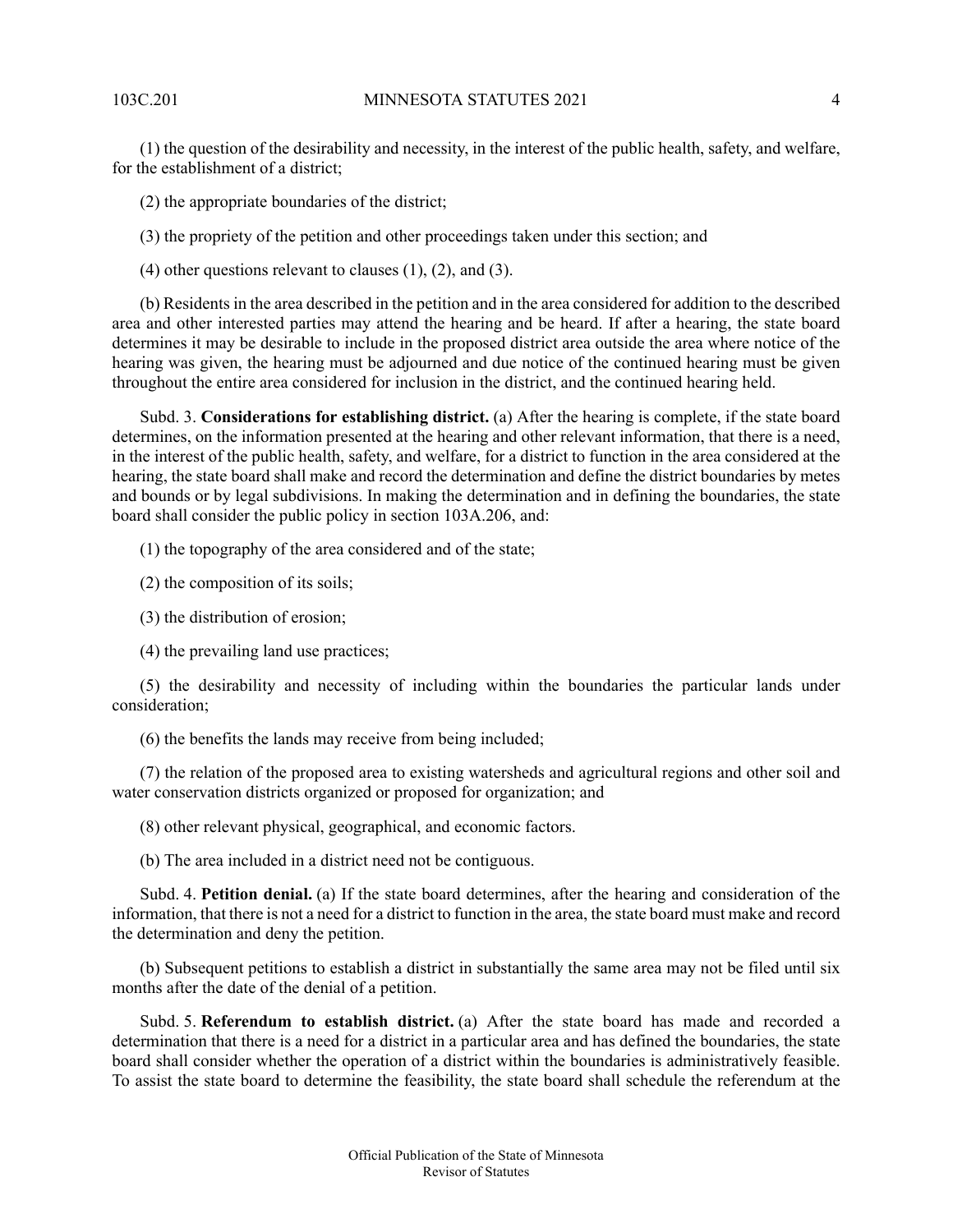(1) the question of the desirability and necessity, in the interest of the public health, safety, and welfare, for the establishment of a district;

(2) the appropriate boundaries of the district;

(3) the propriety of the petition and other proceedings taken under this section; and

 $(4)$  other questions relevant to clauses  $(1)$ ,  $(2)$ , and  $(3)$ .

(b) Residents in the area described in the petition and in the area considered for addition to the described area and other interested parties may attend the hearing and be heard. If after a hearing, the state board determines it may be desirable to include in the proposed district area outside the area where notice of the hearing was given, the hearing must be adjourned and due notice of the continued hearing must be given throughout the entire area considered for inclusion in the district, and the continued hearing held.

Subd. 3. **Considerations for establishing district.** (a) After the hearing is complete, if the state board determines, on the information presented at the hearing and other relevant information, that there is a need, in the interest of the public health, safety, and welfare, for a district to function in the area considered at the hearing, the state board shall make and record the determination and define the district boundaries by metes and bounds or by legal subdivisions. In making the determination and in defining the boundaries, the state board shall consider the public policy in section 103A.206, and:

(1) the topography of the area considered and of the state;

(2) the composition of its soils;

(3) the distribution of erosion;

(4) the prevailing land use practices;

(5) the desirability and necessity of including within the boundaries the particular lands under consideration;

(6) the benefits the lands may receive from being included;

(7) the relation of the proposed area to existing watersheds and agricultural regions and other soil and water conservation districts organized or proposed for organization; and

(8) other relevant physical, geographical, and economic factors.

(b) The area included in a district need not be contiguous.

Subd. 4. **Petition denial.** (a) If the state board determines, after the hearing and consideration of the information, that there is not a need for a district to function in the area, the state board must make and record the determination and deny the petition.

(b) Subsequent petitions to establish a district in substantially the same area may not be filed until six months after the date of the denial of a petition.

Subd. 5. **Referendum to establish district.** (a) After the state board has made and recorded a determination that there is a need for a district in a particular area and has defined the boundaries, the state board shall consider whether the operation of a district within the boundaries is administratively feasible. To assist the state board to determine the feasibility, the state board shall schedule the referendum at the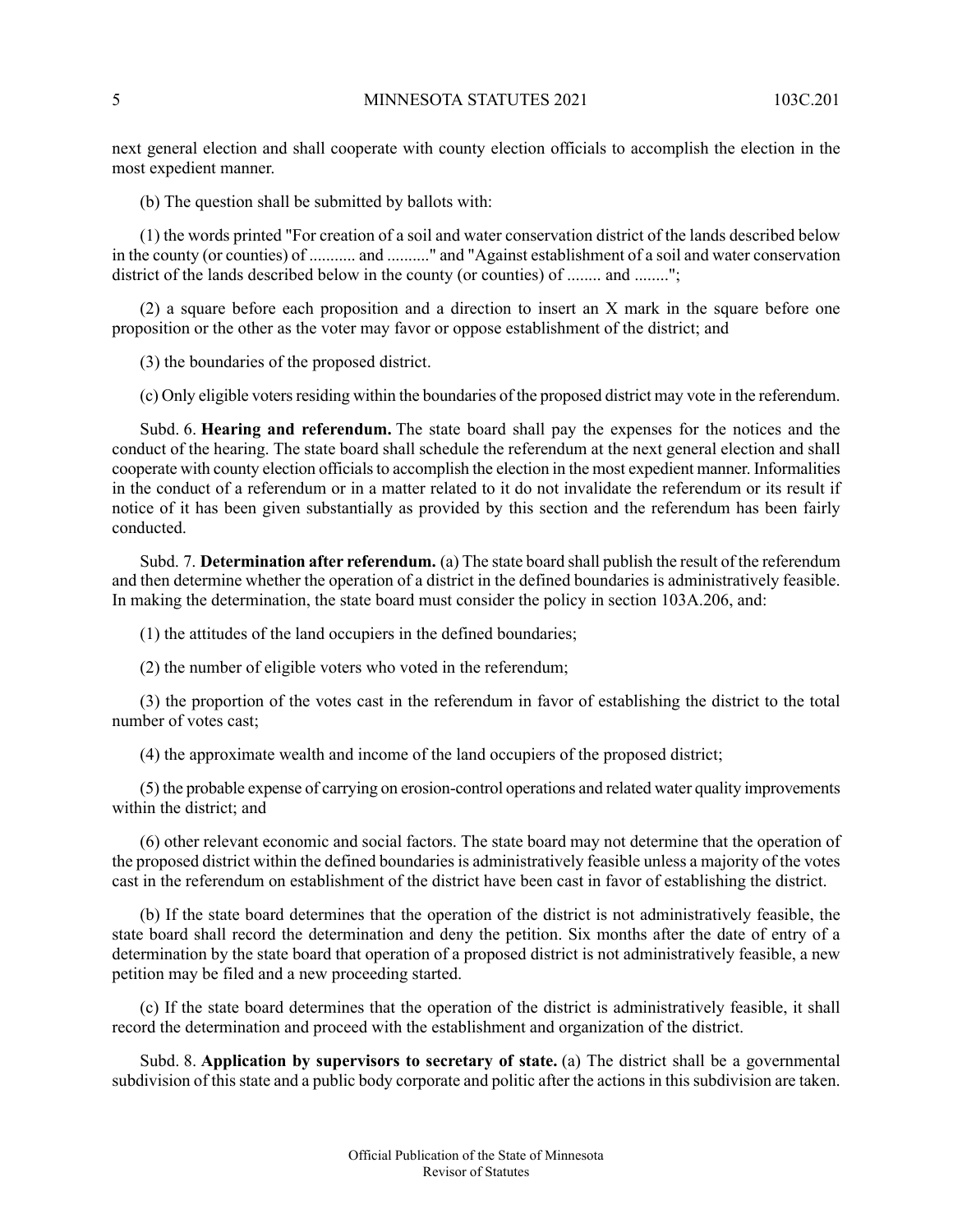next general election and shall cooperate with county election officials to accomplish the election in the most expedient manner.

(b) The question shall be submitted by ballots with:

(1) the words printed "For creation of a soil and water conservation district of the lands described below in the county (or counties) of ........... and .........." and "Against establishment of a soil and water conservation district of the lands described below in the county (or counties) of ........ and ........";

(2) a square before each proposition and a direction to insert an X mark in the square before one proposition or the other as the voter may favor or oppose establishment of the district; and

(3) the boundaries of the proposed district.

(c) Only eligible votersresiding within the boundaries of the proposed district may vote in the referendum.

Subd. 6. **Hearing and referendum.** The state board shall pay the expenses for the notices and the conduct of the hearing. The state board shall schedule the referendum at the next general election and shall cooperate with county election officials to accomplish the election in the most expedient manner. Informalities in the conduct of a referendum or in a matter related to it do not invalidate the referendum or its result if notice of it has been given substantially as provided by this section and the referendum has been fairly conducted.

Subd. 7. **Determination after referendum.** (a) The state board shall publish the result of the referendum and then determine whether the operation of a district in the defined boundaries is administratively feasible. In making the determination, the state board must consider the policy in section 103A.206, and:

(1) the attitudes of the land occupiers in the defined boundaries;

(2) the number of eligible voters who voted in the referendum;

(3) the proportion of the votes cast in the referendum in favor of establishing the district to the total number of votes cast;

(4) the approximate wealth and income of the land occupiers of the proposed district;

(5) the probable expense of carrying on erosion-control operations and related water quality improvements within the district; and

(6) other relevant economic and social factors. The state board may not determine that the operation of the proposed district within the defined boundaries is administratively feasible unless a majority of the votes cast in the referendum on establishment of the district have been cast in favor of establishing the district.

(b) If the state board determines that the operation of the district is not administratively feasible, the state board shall record the determination and deny the petition. Six months after the date of entry of a determination by the state board that operation of a proposed district is not administratively feasible, a new petition may be filed and a new proceeding started.

(c) If the state board determines that the operation of the district is administratively feasible, it shall record the determination and proceed with the establishment and organization of the district.

Subd. 8. **Application by supervisors to secretary of state.** (a) The district shall be a governmental subdivision of this state and a public body corporate and politic after the actions in this subdivision are taken.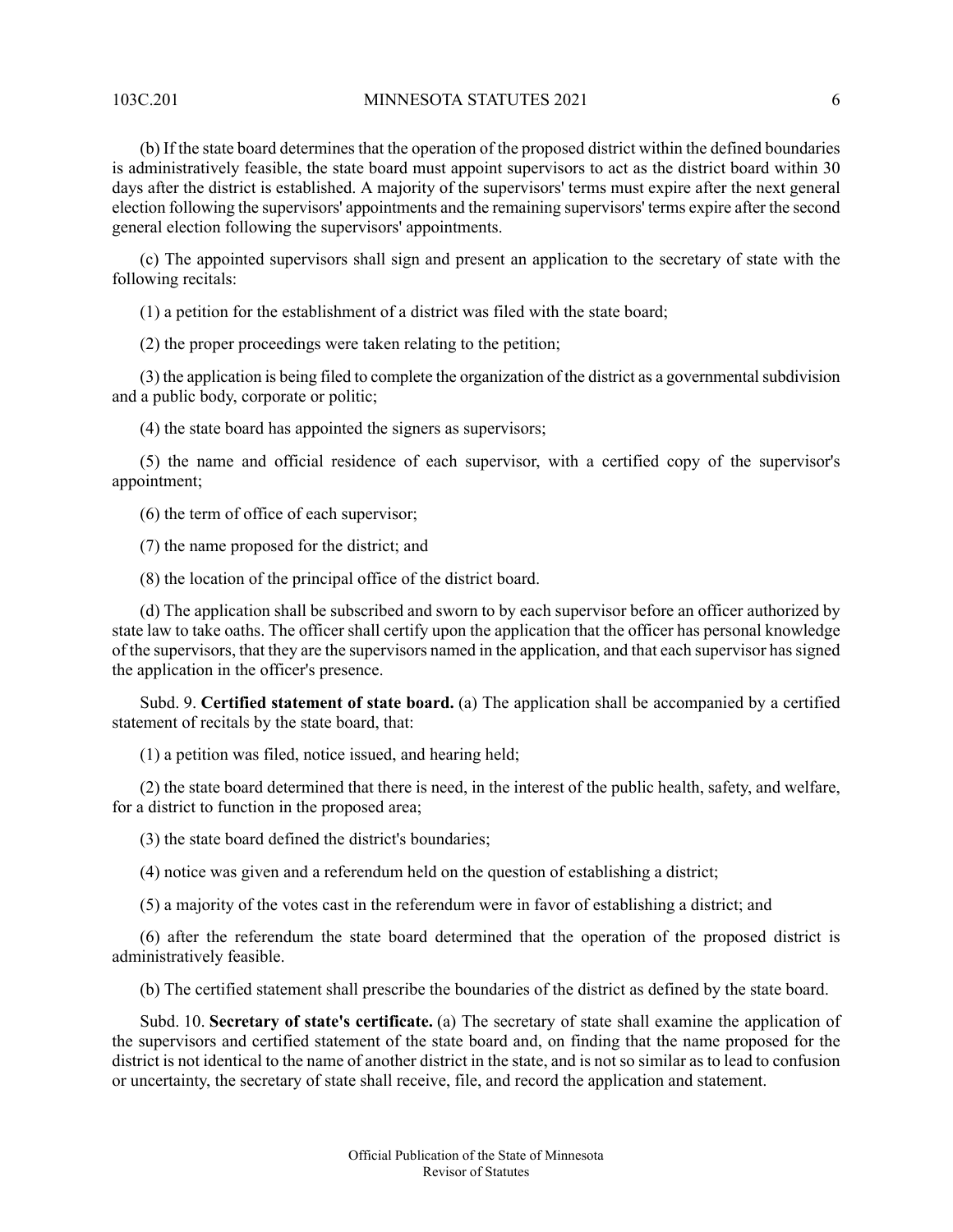103C.201 MINNESOTA STATUTES 2021 6

(b) If the state board determines that the operation of the proposed district within the defined boundaries is administratively feasible, the state board must appoint supervisors to act as the district board within 30 days after the district is established. A majority of the supervisors' terms must expire after the next general election following the supervisors' appointments and the remaining supervisors' terms expire after the second general election following the supervisors' appointments.

(c) The appointed supervisors shall sign and present an application to the secretary of state with the following recitals:

(1) a petition for the establishment of a district was filed with the state board;

(2) the proper proceedings were taken relating to the petition;

(3) the application is being filed to complete the organization of the district as a governmental subdivision and a public body, corporate or politic;

(4) the state board has appointed the signers as supervisors;

(5) the name and official residence of each supervisor, with a certified copy of the supervisor's appointment;

(6) the term of office of each supervisor;

(7) the name proposed for the district; and

(8) the location of the principal office of the district board.

(d) The application shall be subscribed and sworn to by each supervisor before an officer authorized by state law to take oaths. The officer shall certify upon the application that the officer has personal knowledge of the supervisors, that they are the supervisors named in the application, and that each supervisor hassigned the application in the officer's presence.

Subd. 9. **Certified statement of state board.** (a) The application shall be accompanied by a certified statement of recitals by the state board, that:

(1) a petition was filed, notice issued, and hearing held;

(2) the state board determined that there is need, in the interest of the public health, safety, and welfare, for a district to function in the proposed area;

(3) the state board defined the district's boundaries;

(4) notice was given and a referendum held on the question of establishing a district;

(5) a majority of the votes cast in the referendum were in favor of establishing a district; and

(6) after the referendum the state board determined that the operation of the proposed district is administratively feasible.

(b) The certified statement shall prescribe the boundaries of the district as defined by the state board.

Subd. 10. **Secretary of state's certificate.** (a) The secretary of state shall examine the application of the supervisors and certified statement of the state board and, on finding that the name proposed for the district is not identical to the name of another district in the state, and is not so similar as to lead to confusion or uncertainty, the secretary of state shall receive, file, and record the application and statement.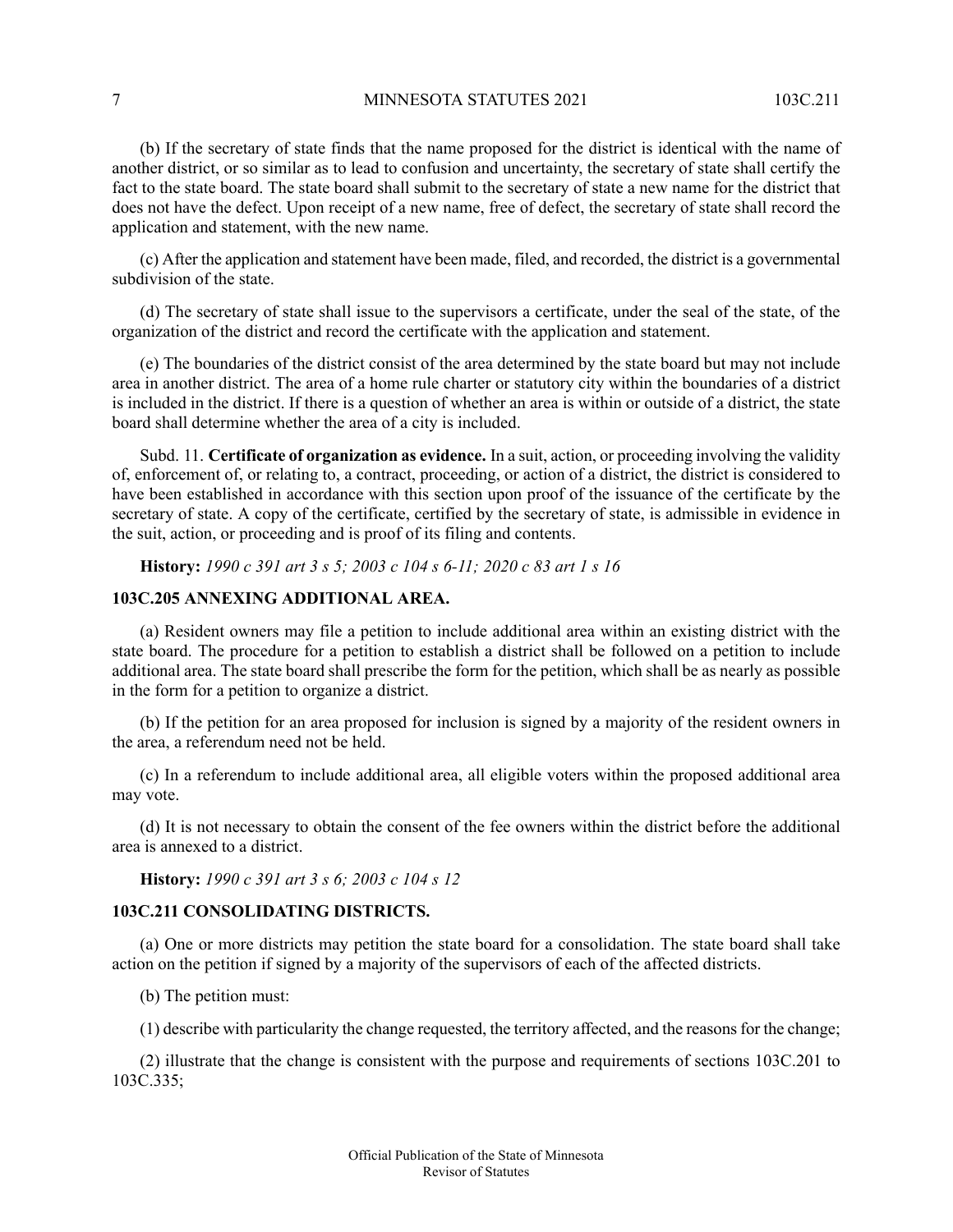#### 7 MINNESOTA STATUTES 2021 103C.211

(b) If the secretary of state finds that the name proposed for the district is identical with the name of another district, or so similar as to lead to confusion and uncertainty, the secretary of state shall certify the fact to the state board. The state board shall submit to the secretary of state a new name for the district that does not have the defect. Upon receipt of a new name, free of defect, the secretary of state shall record the application and statement, with the new name.

(c) After the application and statement have been made, filed, and recorded, the district is a governmental subdivision of the state.

(d) The secretary of state shall issue to the supervisors a certificate, under the seal of the state, of the organization of the district and record the certificate with the application and statement.

(e) The boundaries of the district consist of the area determined by the state board but may not include area in another district. The area of a home rule charter or statutory city within the boundaries of a district is included in the district. If there is a question of whether an area is within or outside of a district, the state board shall determine whether the area of a city is included.

Subd. 11. **Certificate of organization as evidence.** In a suit, action, or proceeding involving the validity of, enforcement of, or relating to, a contract, proceeding, or action of a district, the district is considered to have been established in accordance with this section upon proof of the issuance of the certificate by the secretary of state. A copy of the certificate, certified by the secretary of state, is admissible in evidence in the suit, action, or proceeding and is proof of its filing and contents.

<span id="page-6-0"></span>**History:** *1990 c 391 art 3 s 5; 2003 c 104 s 6-11; 2020 c 83 art 1 s 16*

### **103C.205 ANNEXING ADDITIONAL AREA.**

(a) Resident owners may file a petition to include additional area within an existing district with the state board. The procedure for a petition to establish a district shall be followed on a petition to include additional area. The state board shall prescribe the form for the petition, which shall be as nearly as possible in the form for a petition to organize a district.

(b) If the petition for an area proposed for inclusion is signed by a majority of the resident owners in the area, a referendum need not be held.

(c) In a referendum to include additional area, all eligible voters within the proposed additional area may vote.

<span id="page-6-1"></span>(d) It is not necessary to obtain the consent of the fee owners within the district before the additional area is annexed to a district.

**History:** *1990 c 391 art 3 s 6; 2003 c 104 s 12*

#### **103C.211 CONSOLIDATING DISTRICTS.**

(a) One or more districts may petition the state board for a consolidation. The state board shall take action on the petition if signed by a majority of the supervisors of each of the affected districts.

(b) The petition must:

(1) describe with particularity the change requested, the territory affected, and the reasonsfor the change;

(2) illustrate that the change is consistent with the purpose and requirements of sections 103C.201 to 103C.335;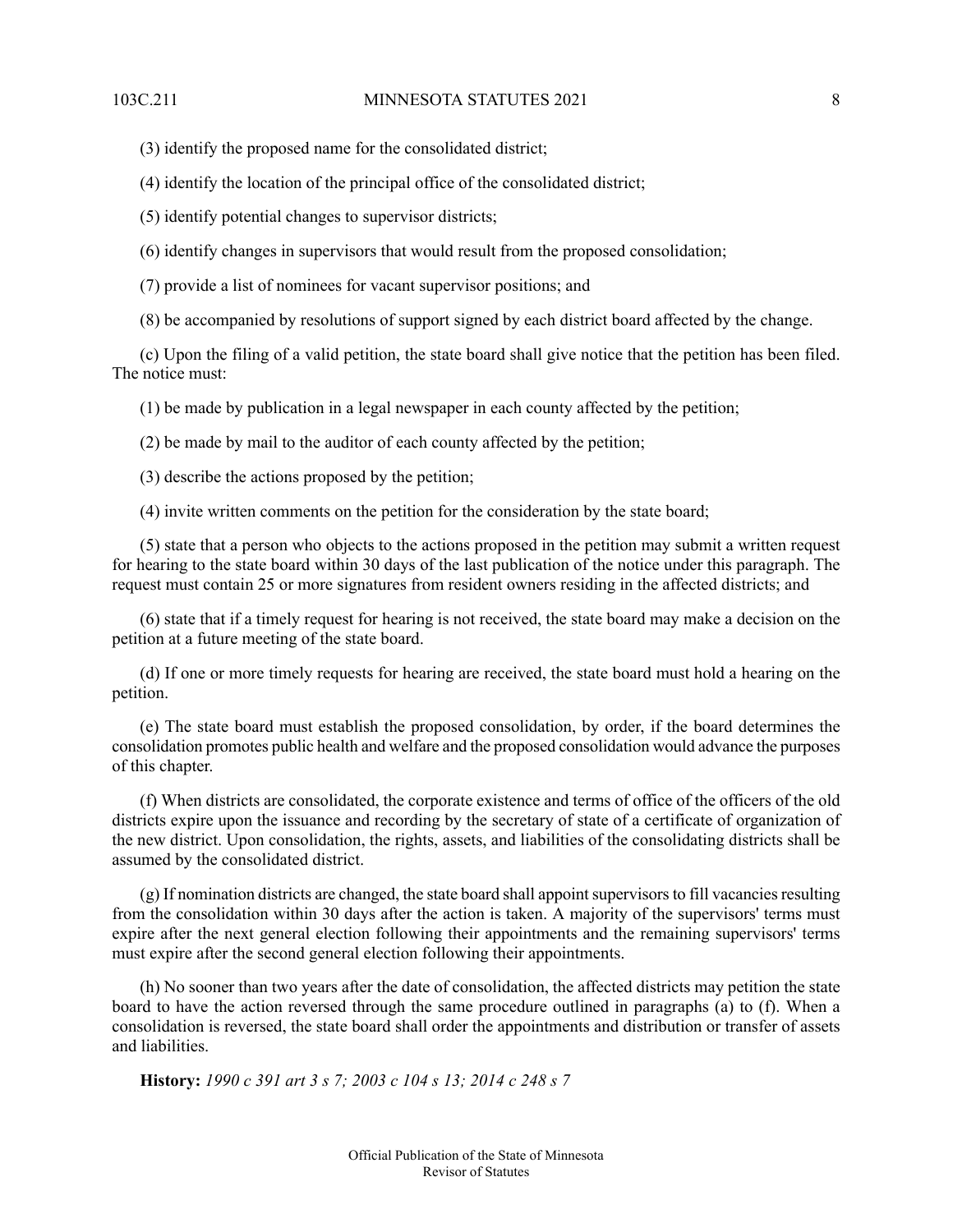(3) identify the proposed name for the consolidated district;

(4) identify the location of the principal office of the consolidated district;

(5) identify potential changes to supervisor districts;

(6) identify changes in supervisors that would result from the proposed consolidation;

(7) provide a list of nominees for vacant supervisor positions; and

(8) be accompanied by resolutions of support signed by each district board affected by the change.

(c) Upon the filing of a valid petition, the state board shall give notice that the petition has been filed. The notice must:

(1) be made by publication in a legal newspaper in each county affected by the petition;

(2) be made by mail to the auditor of each county affected by the petition;

(3) describe the actions proposed by the petition;

(4) invite written comments on the petition for the consideration by the state board;

(5) state that a person who objects to the actions proposed in the petition may submit a written request for hearing to the state board within 30 days of the last publication of the notice under this paragraph. The request must contain 25 or more signatures from resident owners residing in the affected districts; and

(6) state that if a timely request for hearing is not received, the state board may make a decision on the petition at a future meeting of the state board.

(d) If one or more timely requests for hearing are received, the state board must hold a hearing on the petition.

(e) The state board must establish the proposed consolidation, by order, if the board determines the consolidation promotes public health and welfare and the proposed consolidation would advance the purposes of this chapter.

(f) When districts are consolidated, the corporate existence and terms of office of the officers of the old districts expire upon the issuance and recording by the secretary of state of a certificate of organization of the new district. Upon consolidation, the rights, assets, and liabilities of the consolidating districts shall be assumed by the consolidated district.

 $(g)$  If nomination districts are changed, the state board shall appoint supervisors to fill vacancies resulting from the consolidation within 30 days after the action is taken. A majority of the supervisors' terms must expire after the next general election following their appointments and the remaining supervisors' terms must expire after the second general election following their appointments.

<span id="page-7-0"></span>(h) No sooner than two years after the date of consolidation, the affected districts may petition the state board to have the action reversed through the same procedure outlined in paragraphs (a) to (f). When a consolidation is reversed, the state board shall order the appointments and distribution or transfer of assets and liabilities.

**History:** *1990 c 391 art 3 s 7; 2003 c 104 s 13; 2014 c 248 s 7*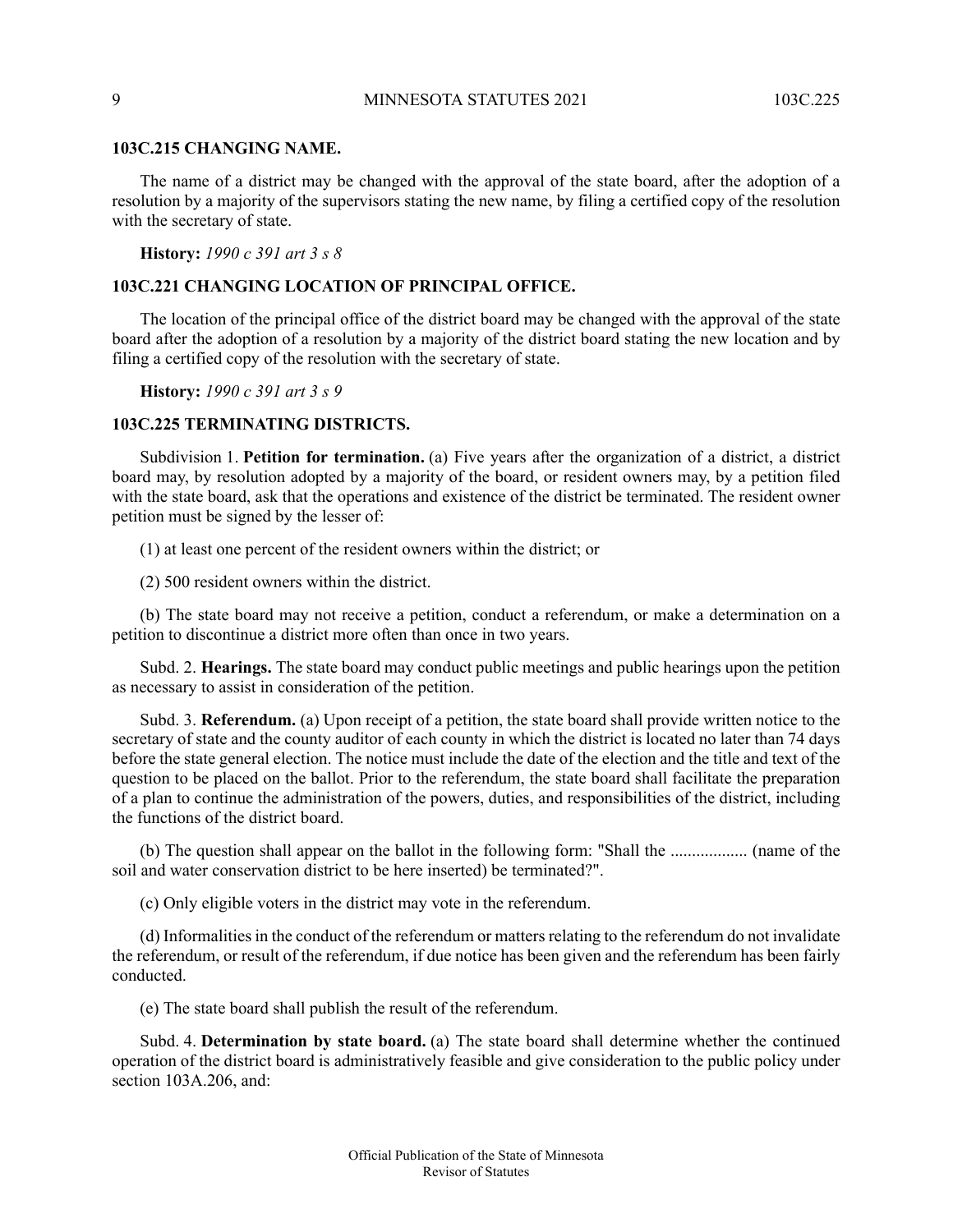#### 9 MINNESOTA STATUTES 2021 103C.225

#### **103C.215 CHANGING NAME.**

The name of a district may be changed with the approval of the state board, after the adoption of a resolution by a majority of the supervisors stating the new name, by filing a certified copy of the resolution with the secretary of state.

<span id="page-8-0"></span>**History:** *1990 c 391 art 3 s 8*

### **103C.221 CHANGING LOCATION OF PRINCIPAL OFFICE.**

The location of the principal office of the district board may be changed with the approval of the state board after the adoption of a resolution by a majority of the district board stating the new location and by filing a certified copy of the resolution with the secretary of state.

<span id="page-8-1"></span>**History:** *1990 c 391 art 3 s 9*

#### **103C.225 TERMINATING DISTRICTS.**

Subdivision 1. **Petition for termination.** (a) Five years after the organization of a district, a district board may, by resolution adopted by a majority of the board, or resident owners may, by a petition filed with the state board, ask that the operations and existence of the district be terminated. The resident owner petition must be signed by the lesser of:

(1) at least one percent of the resident owners within the district; or

(2) 500 resident owners within the district.

(b) The state board may not receive a petition, conduct a referendum, or make a determination on a petition to discontinue a district more often than once in two years.

Subd. 2. **Hearings.** The state board may conduct public meetings and public hearings upon the petition as necessary to assist in consideration of the petition.

Subd. 3. **Referendum.** (a) Upon receipt of a petition, the state board shall provide written notice to the secretary of state and the county auditor of each county in which the district is located no later than 74 days before the state general election. The notice must include the date of the election and the title and text of the question to be placed on the ballot. Prior to the referendum, the state board shall facilitate the preparation of a plan to continue the administration of the powers, duties, and responsibilities of the district, including the functions of the district board.

(b) The question shall appear on the ballot in the following form: "Shall the .................. (name of the soil and water conservation district to be here inserted) be terminated?".

(c) Only eligible voters in the district may vote in the referendum.

(d) Informalities in the conduct of the referendum or matters relating to the referendum do not invalidate the referendum, or result of the referendum, if due notice has been given and the referendum has been fairly conducted.

(e) The state board shall publish the result of the referendum.

Subd. 4. **Determination by state board.** (a) The state board shall determine whether the continued operation of the district board is administratively feasible and give consideration to the public policy under section 103A.206, and: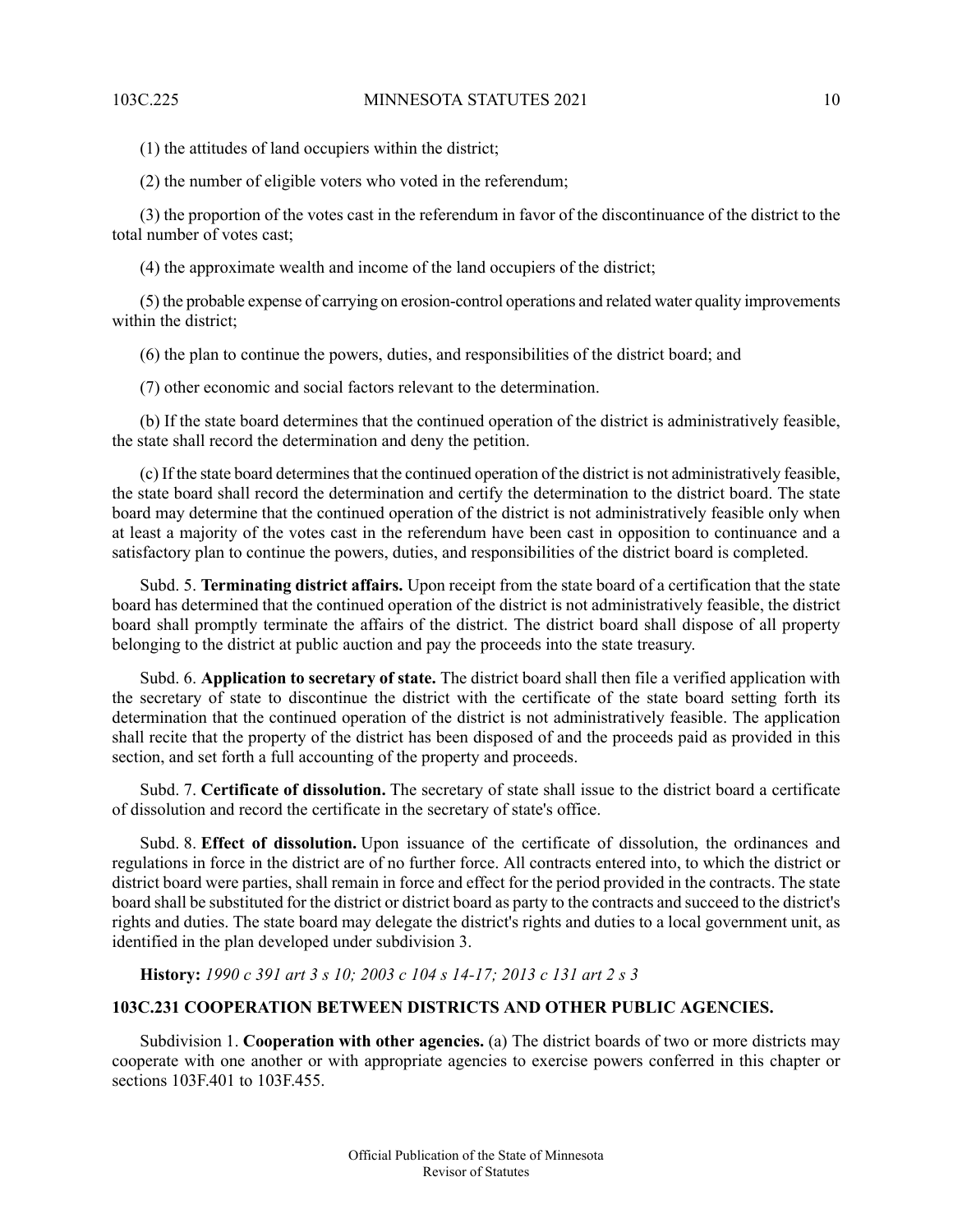(1) the attitudes of land occupiers within the district;

(2) the number of eligible voters who voted in the referendum;

(3) the proportion of the votes cast in the referendum in favor of the discontinuance of the district to the total number of votes cast;

(4) the approximate wealth and income of the land occupiers of the district;

(5) the probable expense of carrying on erosion-control operations and related water quality improvements within the district;

(6) the plan to continue the powers, duties, and responsibilities of the district board; and

(7) other economic and social factors relevant to the determination.

(b) If the state board determines that the continued operation of the district is administratively feasible, the state shall record the determination and deny the petition.

(c) If the state board determines that the continued operation of the district is not administratively feasible, the state board shall record the determination and certify the determination to the district board. The state board may determine that the continued operation of the district is not administratively feasible only when at least a majority of the votes cast in the referendum have been cast in opposition to continuance and a satisfactory plan to continue the powers, duties, and responsibilities of the district board is completed.

Subd. 5. **Terminating district affairs.** Upon receipt from the state board of a certification that the state board has determined that the continued operation of the district is not administratively feasible, the district board shall promptly terminate the affairs of the district. The district board shall dispose of all property belonging to the district at public auction and pay the proceeds into the state treasury.

Subd. 6. **Application to secretary of state.** The district board shall then file a verified application with the secretary of state to discontinue the district with the certificate of the state board setting forth its determination that the continued operation of the district is not administratively feasible. The application shall recite that the property of the district has been disposed of and the proceeds paid as provided in this section, and set forth a full accounting of the property and proceeds.

Subd. 7. **Certificate of dissolution.** The secretary of state shall issue to the district board a certificate of dissolution and record the certificate in the secretary of state's office.

<span id="page-9-0"></span>Subd. 8. **Effect of dissolution.** Upon issuance of the certificate of dissolution, the ordinances and regulations in force in the district are of no further force. All contracts entered into, to which the district or district board were parties, shall remain in force and effect for the period provided in the contracts. The state board shall be substituted for the district or district board as party to the contracts and succeed to the district's rights and duties. The state board may delegate the district's rights and duties to a local government unit, as identified in the plan developed under subdivision 3.

**History:** *1990 c 391 art 3 s 10; 2003 c 104 s 14-17; 2013 c 131 art 2 s 3*

## **103C.231 COOPERATION BETWEEN DISTRICTS AND OTHER PUBLIC AGENCIES.**

Subdivision 1. **Cooperation with other agencies.** (a) The district boards of two or more districts may cooperate with one another or with appropriate agencies to exercise powers conferred in this chapter or sections 103F.401 to 103F.455.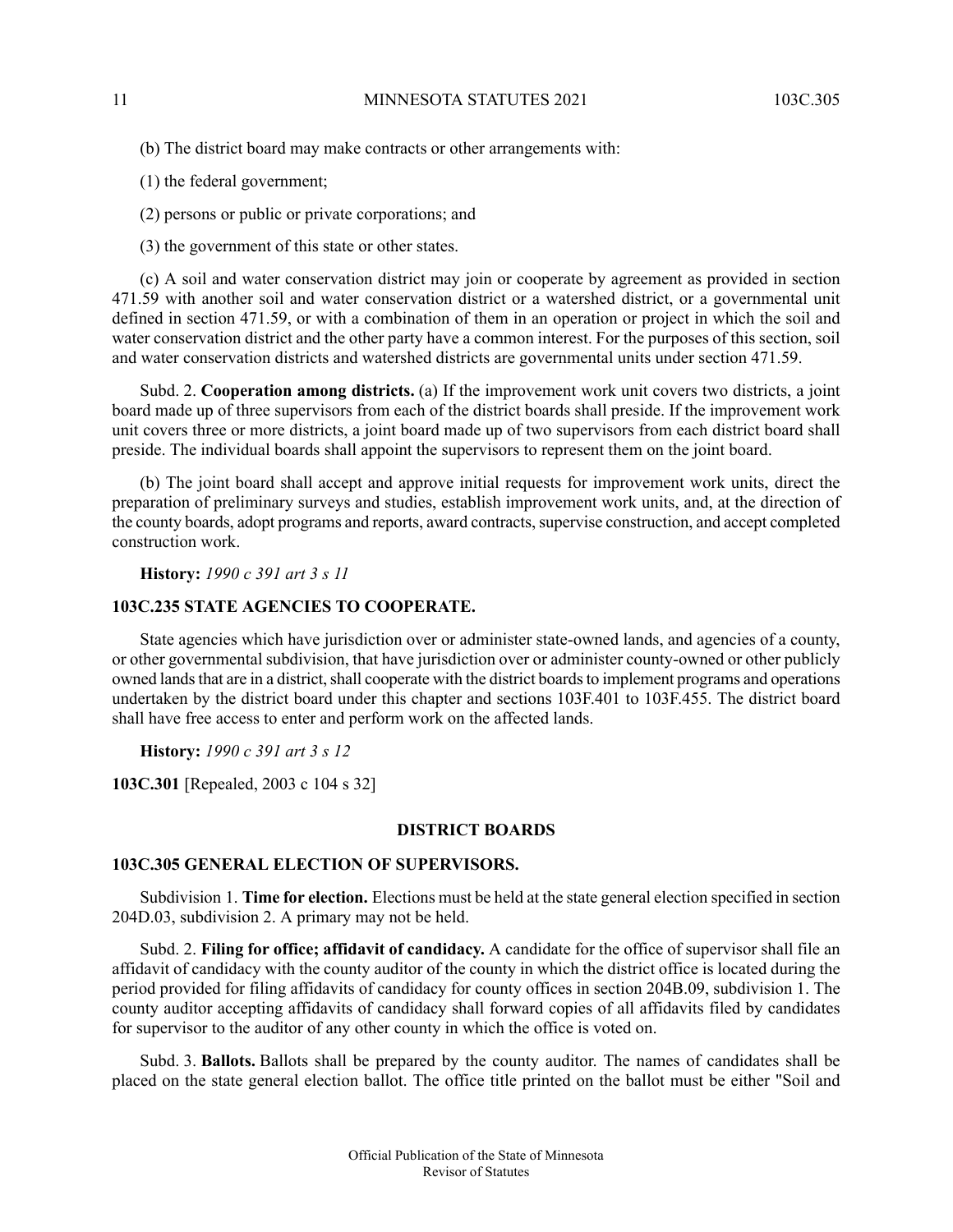(b) The district board may make contracts or other arrangements with:

(1) the federal government;

(2) persons or public or private corporations; and

(3) the government of this state or other states.

(c) A soil and water conservation district may join or cooperate by agreement as provided in section 471.59 with another soil and water conservation district or a watershed district, or a governmental unit defined in section 471.59, or with a combination of them in an operation or project in which the soil and water conservation district and the other party have a common interest. For the purposes of this section, soil and water conservation districts and watershed districts are governmental units under section 471.59.

Subd. 2. **Cooperation among districts.** (a) If the improvement work unit covers two districts, a joint board made up of three supervisors from each of the district boards shall preside. If the improvement work unit covers three or more districts, a joint board made up of two supervisors from each district board shall preside. The individual boards shall appoint the supervisors to represent them on the joint board.

<span id="page-10-0"></span>(b) The joint board shall accept and approve initial requests for improvement work units, direct the preparation of preliminary surveys and studies, establish improvement work units, and, at the direction of the county boards, adopt programs and reports, award contracts, supervise construction, and accept completed construction work.

**History:** *1990 c 391 art 3 s 11*

#### **103C.235 STATE AGENCIES TO COOPERATE.**

State agencies which have jurisdiction over or administer state-owned lands, and agencies of a county, or other governmental subdivision, that have jurisdiction over or administer county-owned or other publicly owned lands that are in a district, shall cooperate with the district boards to implement programs and operations undertaken by the district board under this chapter and sections 103F.401 to 103F.455. The district board shall have free access to enter and perform work on the affected lands.

<span id="page-10-1"></span>**History:** *1990 c 391 art 3 s 12*

<span id="page-10-2"></span>**103C.301** [Repealed, 2003 c 104 s 32]

#### **DISTRICT BOARDS**

### **103C.305 GENERAL ELECTION OF SUPERVISORS.**

Subdivision 1. **Time for election.** Elections must be held at the state general election specified in section 204D.03, subdivision 2. A primary may not be held.

Subd. 2. **Filing for office; affidavit of candidacy.** A candidate for the office of supervisor shall file an affidavit of candidacy with the county auditor of the county in which the district office is located during the period provided for filing affidavits of candidacy for county offices in section 204B.09, subdivision 1. The county auditor accepting affidavits of candidacy shall forward copies of all affidavits filed by candidates for supervisor to the auditor of any other county in which the office is voted on.

Subd. 3. **Ballots.** Ballots shall be prepared by the county auditor. The names of candidates shall be placed on the state general election ballot. The office title printed on the ballot must be either "Soil and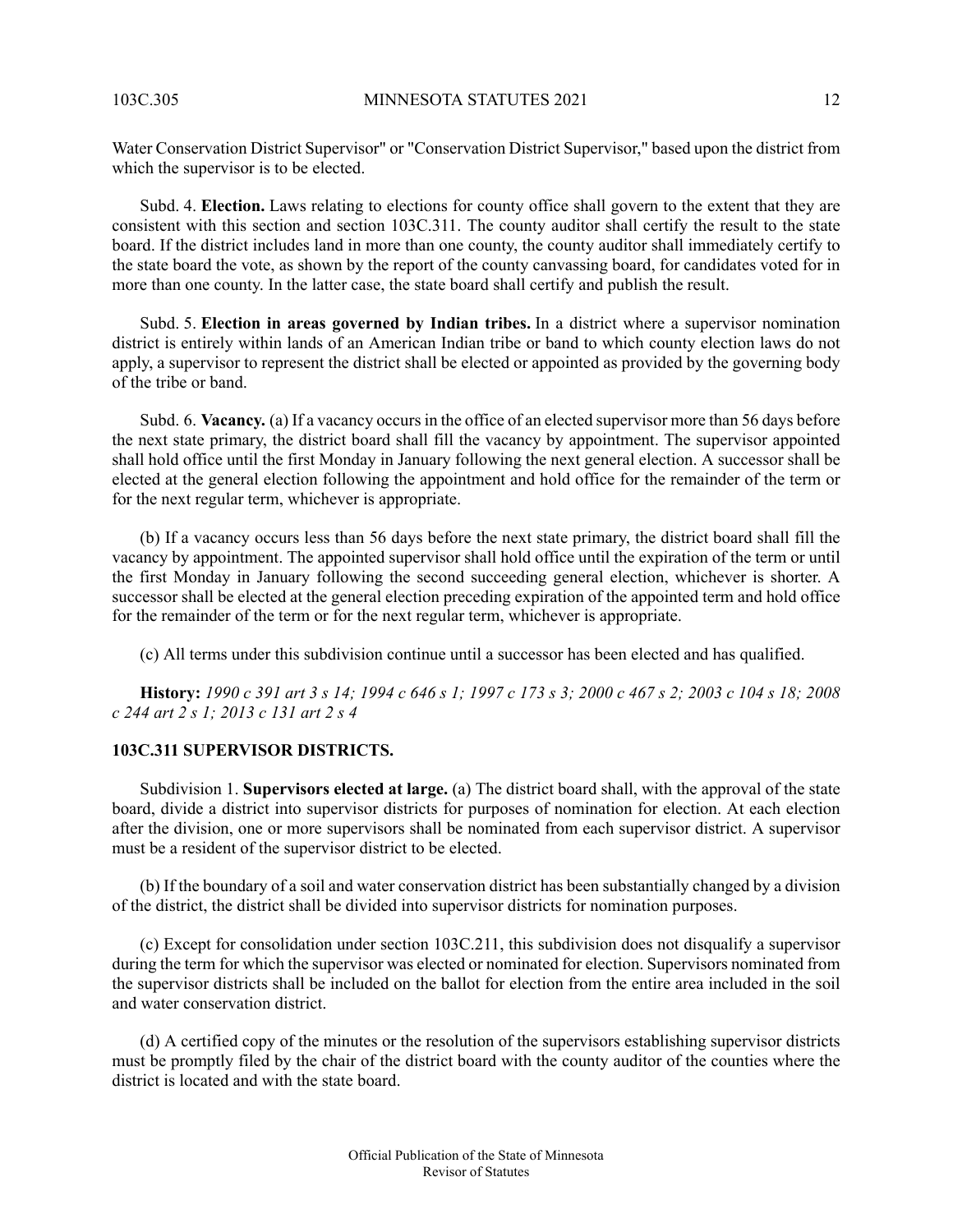Water Conservation District Supervisor" or "Conservation District Supervisor," based upon the district from which the supervisor is to be elected.

Subd. 4. **Election.** Laws relating to elections for county office shall govern to the extent that they are consistent with this section and section 103C.311. The county auditor shall certify the result to the state board. If the district includes land in more than one county, the county auditor shall immediately certify to the state board the vote, as shown by the report of the county canvassing board, for candidates voted for in more than one county. In the latter case, the state board shall certify and publish the result.

Subd. 5. **Election in areas governed by Indian tribes.** In a district where a supervisor nomination district is entirely within lands of an American Indian tribe or band to which county election laws do not apply, a supervisor to represent the district shall be elected or appointed as provided by the governing body of the tribe or band.

Subd. 6. **Vacancy.** (a) If a vacancy occurs in the office of an elected supervisor more than 56 days before the next state primary, the district board shall fill the vacancy by appointment. The supervisor appointed shall hold office until the first Monday in January following the next general election. A successor shall be elected at the general election following the appointment and hold office for the remainder of the term or for the next regular term, whichever is appropriate.

(b) If a vacancy occurs less than 56 days before the next state primary, the district board shall fill the vacancy by appointment. The appointed supervisor shall hold office until the expiration of the term or until the first Monday in January following the second succeeding general election, whichever is shorter. A successor shall be elected at the general election preceding expiration of the appointed term and hold office for the remainder of the term or for the next regular term, whichever is appropriate.

<span id="page-11-0"></span>(c) All terms under this subdivision continue until a successor has been elected and has qualified.

History: 1990 c 391 art 3 s 14; 1994 c 646 s 1; 1997 c 173 s 3; 2000 c 467 s 2; 2003 c 104 s 18; 2008 *c 244 art 2 s 1; 2013 c 131 art 2 s 4*

### **103C.311 SUPERVISOR DISTRICTS.**

Subdivision 1. **Supervisors elected at large.** (a) The district board shall, with the approval of the state board, divide a district into supervisor districts for purposes of nomination for election. At each election after the division, one or more supervisors shall be nominated from each supervisor district. A supervisor must be a resident of the supervisor district to be elected.

(b) If the boundary of a soil and water conservation district has been substantially changed by a division of the district, the district shall be divided into supervisor districts for nomination purposes.

(c) Except for consolidation under section 103C.211, this subdivision does not disqualify a supervisor during the term for which the supervisor was elected or nominated for election. Supervisors nominated from the supervisor districts shall be included on the ballot for election from the entire area included in the soil and water conservation district.

(d) A certified copy of the minutes or the resolution of the supervisors establishing supervisor districts must be promptly filed by the chair of the district board with the county auditor of the counties where the district is located and with the state board.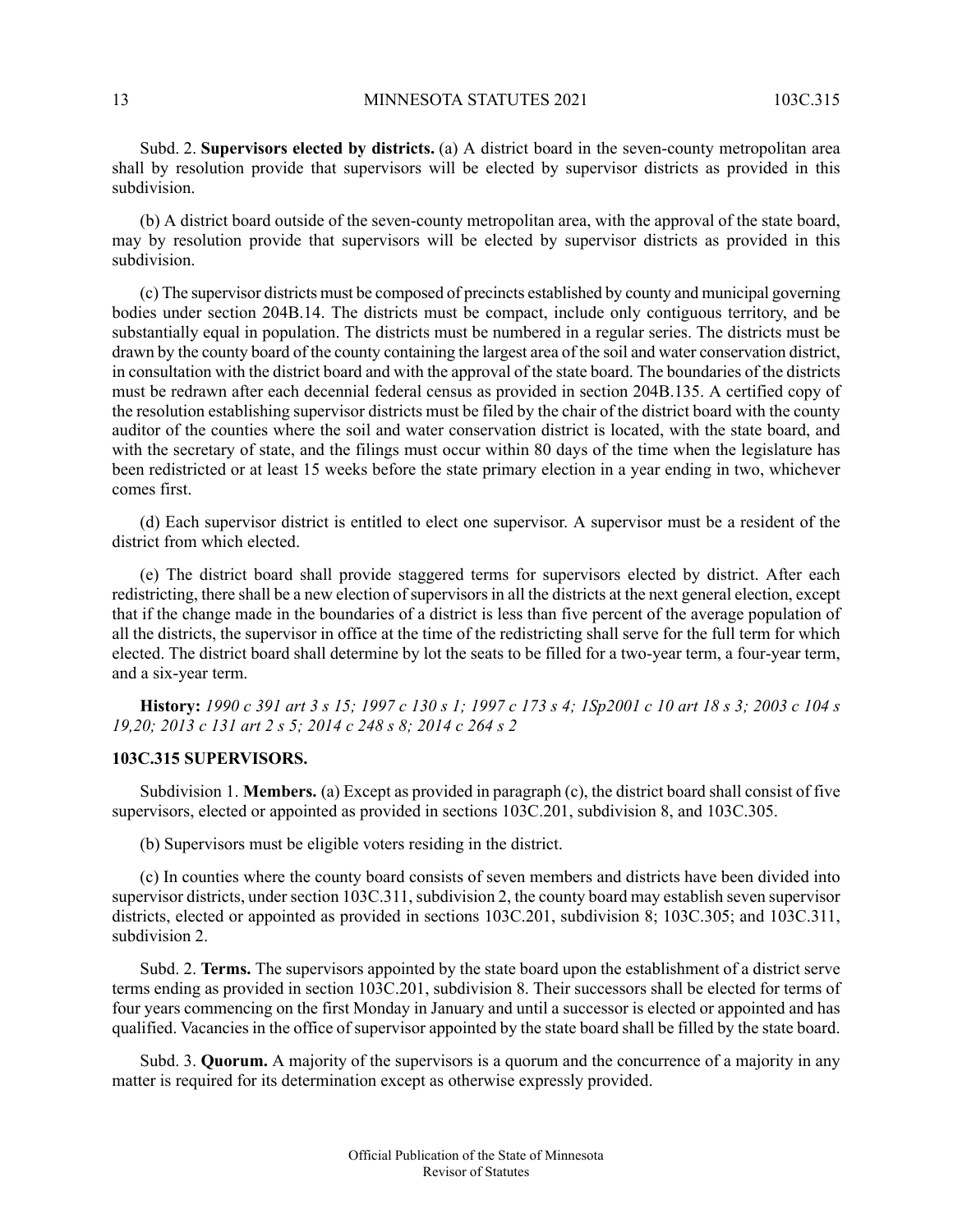Subd. 2. **Supervisors elected by districts.** (a) A district board in the seven-county metropolitan area shall by resolution provide that supervisors will be elected by supervisor districts as provided in this subdivision.

(b) A district board outside of the seven-county metropolitan area, with the approval of the state board, may by resolution provide that supervisors will be elected by supervisor districts as provided in this subdivision.

(c) The supervisor districts must be composed of precincts established by county and municipal governing bodies under section 204B.14. The districts must be compact, include only contiguous territory, and be substantially equal in population. The districts must be numbered in a regular series. The districts must be drawn by the county board of the county containing the largest area of the soil and water conservation district, in consultation with the district board and with the approval of the state board. The boundaries of the districts must be redrawn after each decennial federal census as provided in section 204B.135. A certified copy of the resolution establishing supervisor districts must be filed by the chair of the district board with the county auditor of the counties where the soil and water conservation district is located, with the state board, and with the secretary of state, and the filings must occur within 80 days of the time when the legislature has been redistricted or at least 15 weeks before the state primary election in a year ending in two, whichever comes first.

(d) Each supervisor district is entitled to elect one supervisor. A supervisor must be a resident of the district from which elected.

(e) The district board shall provide staggered terms for supervisors elected by district. After each redistricting, there shall be a new election of supervisors in all the districts at the next general election, except that if the change made in the boundaries of a district is less than five percent of the average population of all the districts, the supervisor in office at the time of the redistricting shall serve for the full term for which elected. The district board shall determine by lot the seats to be filled for a two-year term, a four-year term, and a six-year term.

<span id="page-12-0"></span>History: 1990 c 391 art 3 s 15; 1997 c 130 s 1; 1997 c 173 s 4; 1Sp2001 c 10 art 18 s 3; 2003 c 104 s *19,20; 2013 c 131 art 2 s 5; 2014 c 248 s 8; 2014 c 264 s 2*

#### **103C.315 SUPERVISORS.**

Subdivision 1. **Members.** (a) Except as provided in paragraph (c), the district board shall consist of five supervisors, elected or appointed as provided in sections 103C.201, subdivision 8, and 103C.305.

(b) Supervisors must be eligible voters residing in the district.

(c) In counties where the county board consists of seven members and districts have been divided into supervisor districts, under section 103C.311, subdivision 2, the county board may establish seven supervisor districts, elected or appointed as provided in sections 103C.201, subdivision 8; 103C.305; and 103C.311, subdivision 2.

Subd. 2. **Terms.** The supervisors appointed by the state board upon the establishment of a district serve terms ending as provided in section 103C.201, subdivision 8. Their successors shall be elected for terms of four years commencing on the first Monday in January and until a successor is elected or appointed and has qualified. Vacancies in the office of supervisor appointed by the state board shall be filled by the state board.

Subd. 3. **Quorum.** A majority of the supervisors is a quorum and the concurrence of a majority in any matter is required for its determination except as otherwise expressly provided.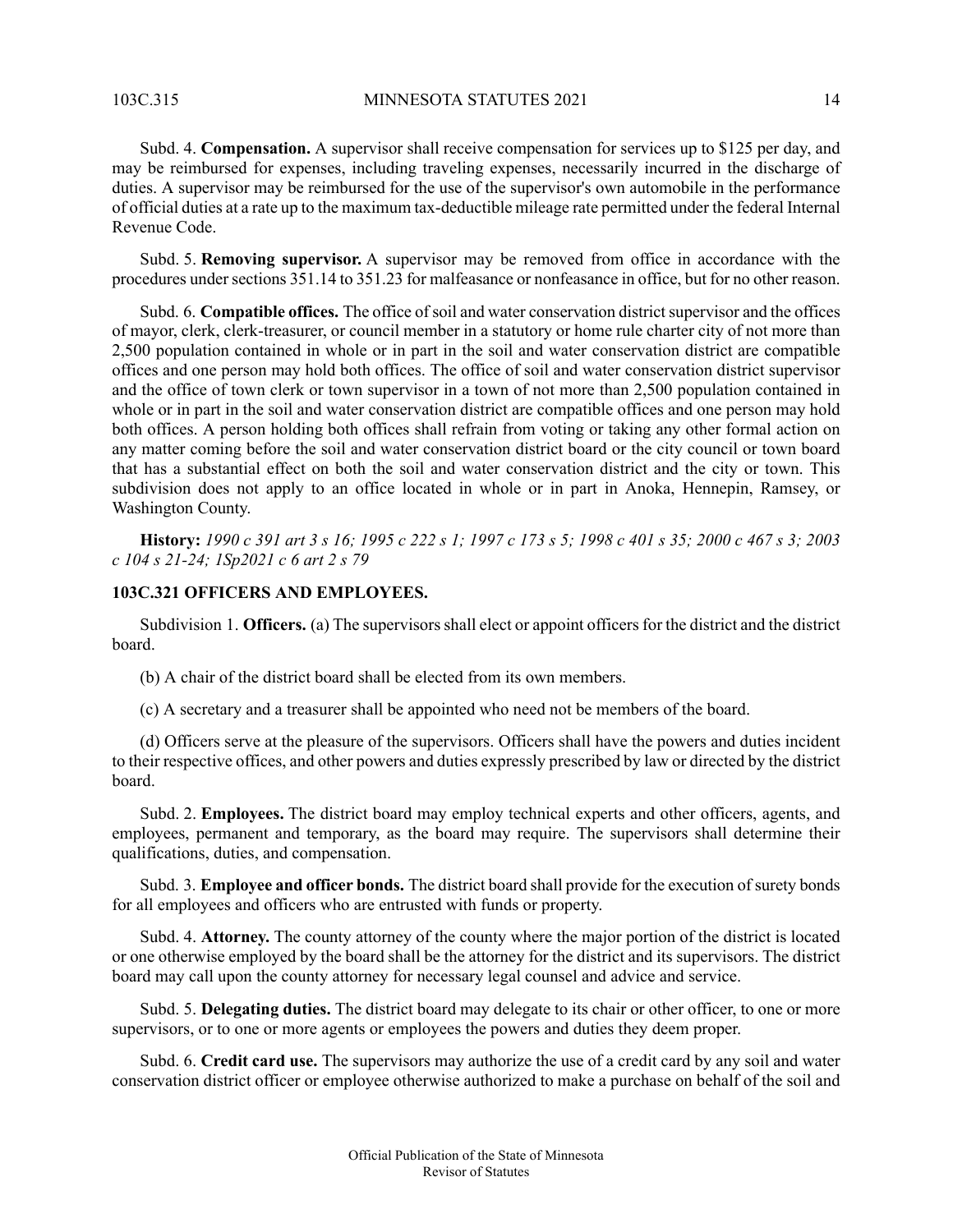Subd. 4. **Compensation.** A supervisor shall receive compensation for services up to \$125 per day, and may be reimbursed for expenses, including traveling expenses, necessarily incurred in the discharge of duties. A supervisor may be reimbursed for the use of the supervisor's own automobile in the performance of official duties at a rate up to the maximum tax-deductible mileage rate permitted under the federal Internal Revenue Code.

Subd. 5. **Removing supervisor.** A supervisor may be removed from office in accordance with the procedures under sections 351.14 to 351.23 for malfeasance or nonfeasance in office, but for no other reason.

Subd. 6. **Compatible offices.** The office of soil and water conservation district supervisor and the offices of mayor, clerk, clerk-treasurer, or council member in a statutory or home rule charter city of not more than 2,500 population contained in whole or in part in the soil and water conservation district are compatible offices and one person may hold both offices. The office of soil and water conservation district supervisor and the office of town clerk or town supervisor in a town of not more than 2,500 population contained in whole or in part in the soil and water conservation district are compatible offices and one person may hold both offices. A person holding both offices shall refrain from voting or taking any other formal action on any matter coming before the soil and water conservation district board or the city council or town board that has a substantial effect on both the soil and water conservation district and the city or town. This subdivision does not apply to an office located in whole or in part in Anoka, Hennepin, Ramsey, or Washington County.

<span id="page-13-0"></span>History: 1990 c 391 art 3 s 16; 1995 c 222 s 1; 1997 c 173 s 5; 1998 c 401 s 35; 2000 c 467 s 3; 2003 *c 104 s 21-24; 1Sp2021 c 6 art 2 s 79*

#### **103C.321 OFFICERS AND EMPLOYEES.**

Subdivision 1. **Officers.** (a) The supervisors shall elect or appoint officers for the district and the district board.

(b) A chair of the district board shall be elected from its own members.

(c) A secretary and a treasurer shall be appointed who need not be members of the board.

(d) Officers serve at the pleasure of the supervisors. Officers shall have the powers and duties incident to their respective offices, and other powers and duties expressly prescribed by law or directed by the district board.

Subd. 2. **Employees.** The district board may employ technical experts and other officers, agents, and employees, permanent and temporary, as the board may require. The supervisors shall determine their qualifications, duties, and compensation.

Subd. 3. **Employee and officer bonds.** The district board shall provide for the execution of surety bonds for all employees and officers who are entrusted with funds or property.

Subd. 4. **Attorney.** The county attorney of the county where the major portion of the district is located or one otherwise employed by the board shall be the attorney for the district and its supervisors. The district board may call upon the county attorney for necessary legal counsel and advice and service.

Subd. 5. **Delegating duties.** The district board may delegate to its chair or other officer, to one or more supervisors, or to one or more agents or employees the powers and duties they deem proper.

Subd. 6. **Credit card use.** The supervisors may authorize the use of a credit card by any soil and water conservation district officer or employee otherwise authorized to make a purchase on behalf of the soil and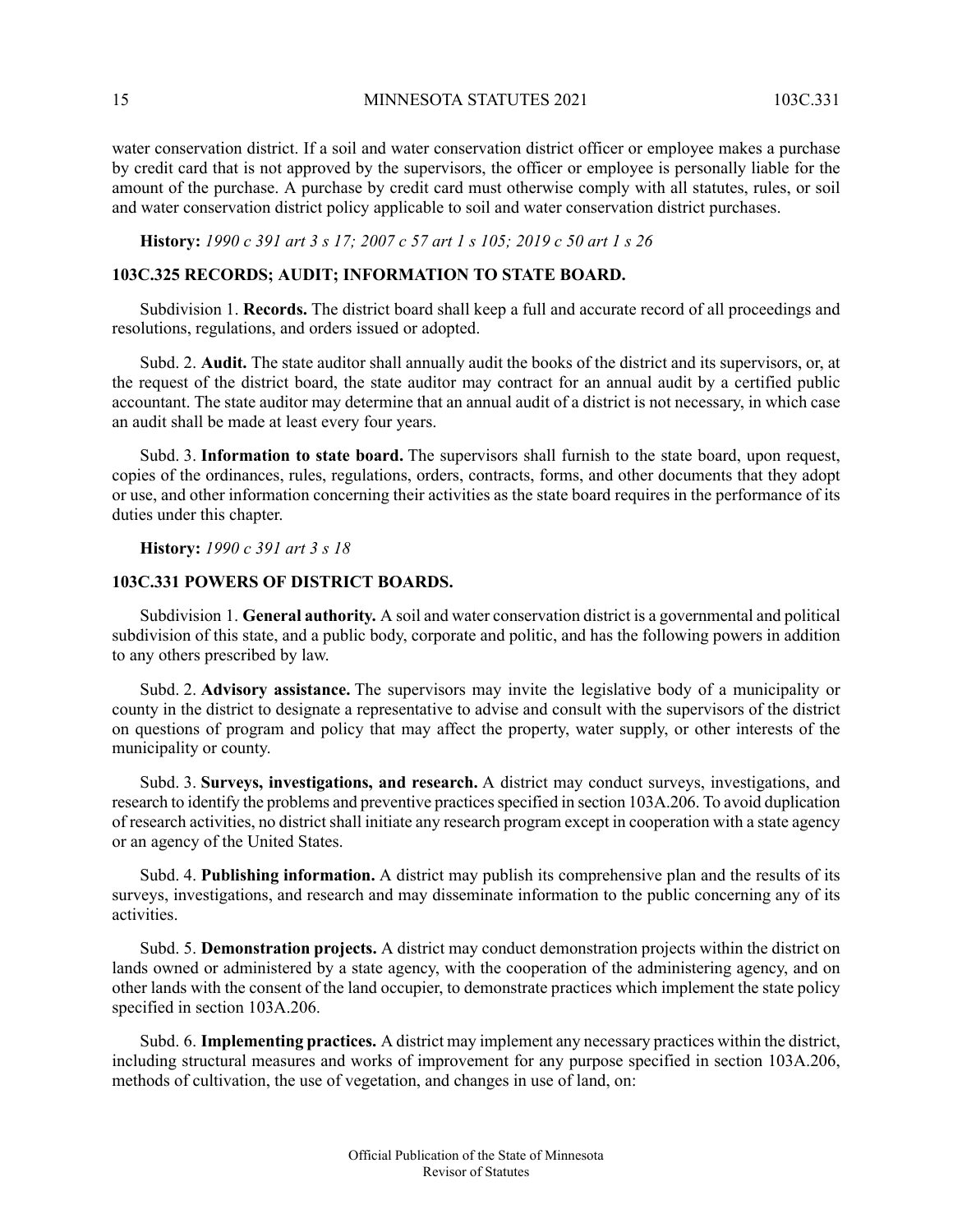15 MINNESOTA STATUTES 2021 103C.331

water conservation district. If a soil and water conservation district officer or employee makes a purchase by credit card that is not approved by the supervisors, the officer or employee is personally liable for the amount of the purchase. A purchase by credit card must otherwise comply with all statutes, rules, or soil and water conservation district policy applicable to soil and water conservation district purchases.

### <span id="page-14-0"></span>History: 1990 c 391 art 3 s 17; 2007 c 57 art 1 s 105; 2019 c 50 art 1 s 26

### **103C.325 RECORDS; AUDIT; INFORMATION TO STATE BOARD.**

Subdivision 1. **Records.** The district board shall keep a full and accurate record of all proceedings and resolutions, regulations, and orders issued or adopted.

Subd. 2. **Audit.** The state auditor shall annually audit the books of the district and its supervisors, or, at the request of the district board, the state auditor may contract for an annual audit by a certified public accountant. The state auditor may determine that an annual audit of a district is not necessary, in which case an audit shall be made at least every four years.

<span id="page-14-1"></span>Subd. 3. **Information to state board.** The supervisors shall furnish to the state board, upon request, copies of the ordinances, rules, regulations, orders, contracts, forms, and other documents that they adopt or use, and other information concerning their activities as the state board requires in the performance of its duties under this chapter.

**History:** *1990 c 391 art 3 s 18*

#### **103C.331 POWERS OF DISTRICT BOARDS.**

Subdivision 1. **General authority.** A soil and water conservation district is a governmental and political subdivision of this state, and a public body, corporate and politic, and has the following powers in addition to any others prescribed by law.

Subd. 2. **Advisory assistance.** The supervisors may invite the legislative body of a municipality or county in the district to designate a representative to advise and consult with the supervisors of the district on questions of program and policy that may affect the property, water supply, or other interests of the municipality or county.

Subd. 3. **Surveys, investigations, and research.** A district may conduct surveys, investigations, and research to identify the problems and preventive practices specified in section 103A.206. To avoid duplication of research activities, no district shall initiate any research program except in cooperation with a state agency or an agency of the United States.

Subd. 4. **Publishing information.** A district may publish its comprehensive plan and the results of its surveys, investigations, and research and may disseminate information to the public concerning any of its activities.

Subd. 5. **Demonstration projects.** A district may conduct demonstration projects within the district on lands owned or administered by a state agency, with the cooperation of the administering agency, and on other lands with the consent of the land occupier, to demonstrate practices which implement the state policy specified in section 103A.206.

Subd. 6. **Implementing practices.** A district may implement any necessary practices within the district, including structural measures and works of improvement for any purpose specified in section 103A.206, methods of cultivation, the use of vegetation, and changes in use of land, on: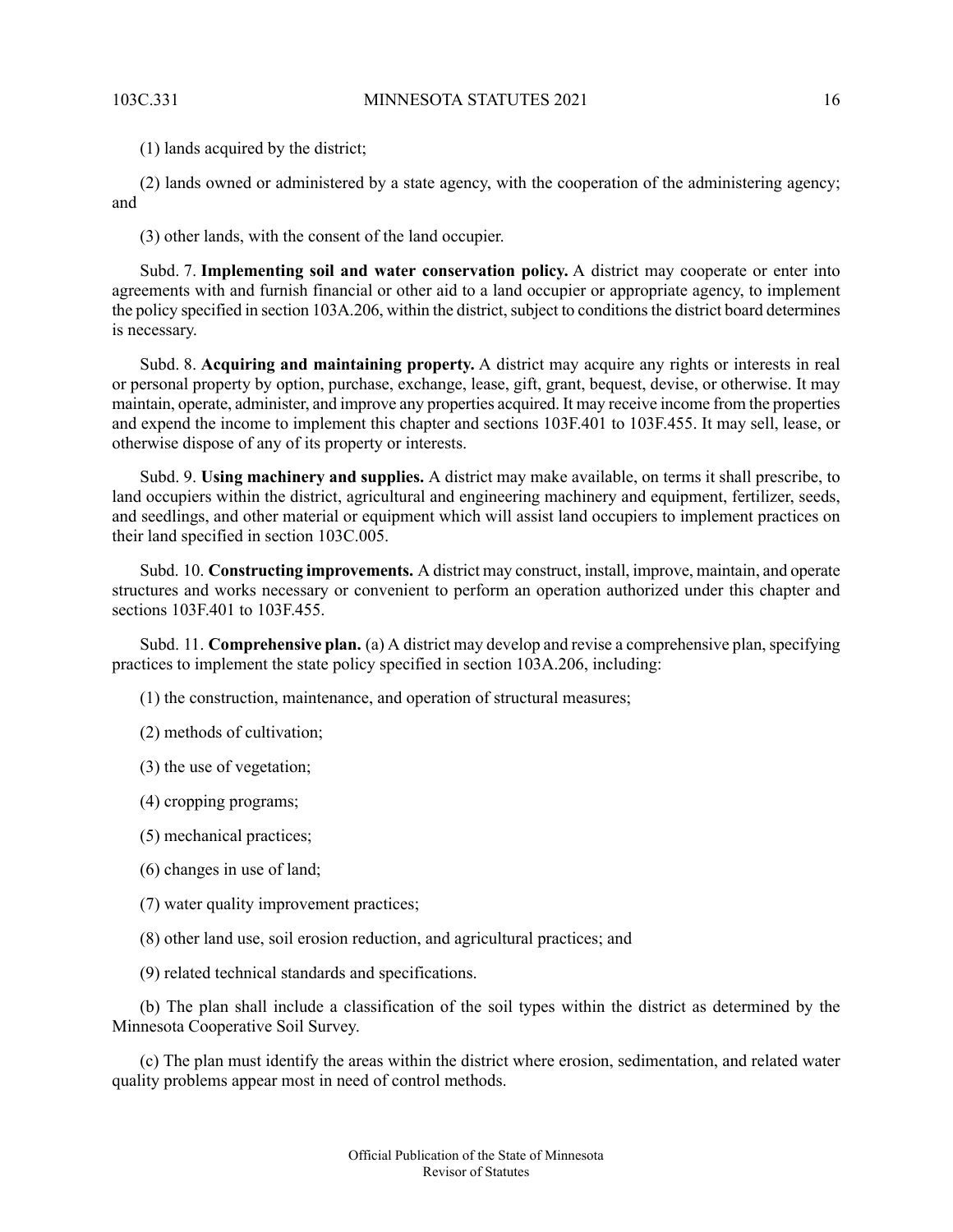(1) lands acquired by the district;

(2) lands owned or administered by a state agency, with the cooperation of the administering agency; and

(3) other lands, with the consent of the land occupier.

Subd. 7. **Implementing soil and water conservation policy.** A district may cooperate or enter into agreements with and furnish financial or other aid to a land occupier or appropriate agency, to implement the policy specified in section 103A.206, within the district, subject to conditions the district board determines is necessary.

Subd. 8. **Acquiring and maintaining property.** A district may acquire any rights or interests in real or personal property by option, purchase, exchange, lease, gift, grant, bequest, devise, or otherwise. It may maintain, operate, administer, and improve any properties acquired. It may receive income from the properties and expend the income to implement this chapter and sections 103F.401 to 103F.455. It may sell, lease, or otherwise dispose of any of its property or interests.

Subd. 9. **Using machinery and supplies.** A district may make available, on terms it shall prescribe, to land occupiers within the district, agricultural and engineering machinery and equipment, fertilizer, seeds, and seedlings, and other material or equipment which will assist land occupiers to implement practices on their land specified in section 103C.005.

Subd. 10. **Constructing improvements.** A district may construct, install, improve, maintain, and operate structures and works necessary or convenient to perform an operation authorized under this chapter and sections 103F.401 to 103F.455.

Subd. 11. **Comprehensive plan.** (a) A district may develop and revise a comprehensive plan, specifying practices to implement the state policy specified in section 103A.206, including:

(1) the construction, maintenance, and operation of structural measures;

(2) methods of cultivation;

- (3) the use of vegetation;
- (4) cropping programs;
- (5) mechanical practices;
- (6) changes in use of land;
- (7) water quality improvement practices;
- (8) other land use, soil erosion reduction, and agricultural practices; and

(9) related technical standards and specifications.

(b) The plan shall include a classification of the soil types within the district as determined by the Minnesota Cooperative Soil Survey.

(c) The plan must identify the areas within the district where erosion, sedimentation, and related water quality problems appear most in need of control methods.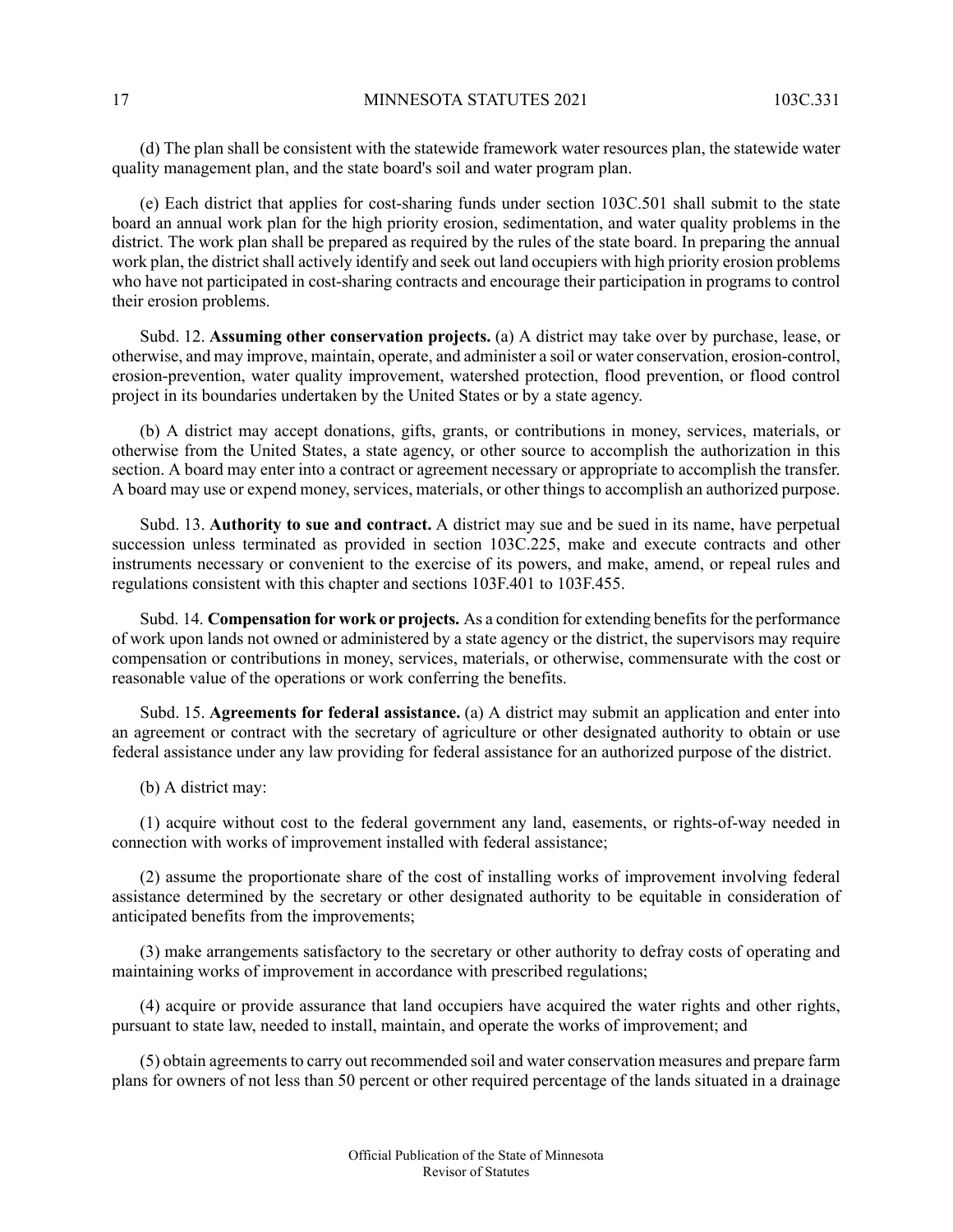(d) The plan shall be consistent with the statewide framework water resources plan, the statewide water quality management plan, and the state board's soil and water program plan.

(e) Each district that applies for cost-sharing funds under section 103C.501 shall submit to the state board an annual work plan for the high priority erosion, sedimentation, and water quality problems in the district. The work plan shall be prepared as required by the rules of the state board. In preparing the annual work plan, the district shall actively identify and seek out land occupiers with high priority erosion problems who have not participated in cost-sharing contracts and encourage their participation in programs to control their erosion problems.

Subd. 12. **Assuming other conservation projects.** (a) A district may take over by purchase, lease, or otherwise, and may improve, maintain, operate, and administer a soil or water conservation, erosion-control, erosion-prevention, water quality improvement, watershed protection, flood prevention, or flood control project in its boundaries undertaken by the United States or by a state agency.

(b) A district may accept donations, gifts, grants, or contributions in money, services, materials, or otherwise from the United States, a state agency, or other source to accomplish the authorization in this section. A board may enter into a contract or agreement necessary or appropriate to accomplish the transfer. A board may use or expend money, services, materials, or other things to accomplish an authorized purpose.

Subd. 13. **Authority to sue and contract.** A district may sue and be sued in its name, have perpetual succession unless terminated as provided in section 103C.225, make and execute contracts and other instruments necessary or convenient to the exercise of its powers, and make, amend, or repeal rules and regulations consistent with this chapter and sections 103F.401 to 103F.455.

Subd. 14. **Compensation for work or projects.** As a condition for extending benefitsfor the performance of work upon lands not owned or administered by a state agency or the district, the supervisors may require compensation or contributions in money, services, materials, or otherwise, commensurate with the cost or reasonable value of the operations or work conferring the benefits.

Subd. 15. **Agreements for federal assistance.** (a) A district may submit an application and enter into an agreement or contract with the secretary of agriculture or other designated authority to obtain or use federal assistance under any law providing for federal assistance for an authorized purpose of the district.

(b) A district may:

(1) acquire without cost to the federal government any land, easements, or rights-of-way needed in connection with works of improvement installed with federal assistance;

(2) assume the proportionate share of the cost of installing works of improvement involving federal assistance determined by the secretary or other designated authority to be equitable in consideration of anticipated benefits from the improvements;

(3) make arrangements satisfactory to the secretary or other authority to defray costs of operating and maintaining works of improvement in accordance with prescribed regulations;

(4) acquire or provide assurance that land occupiers have acquired the water rights and other rights, pursuant to state law, needed to install, maintain, and operate the works of improvement; and

(5) obtain agreements to carry out recommended soil and water conservation measures and prepare farm plans for owners of not less than 50 percent or other required percentage of the lands situated in a drainage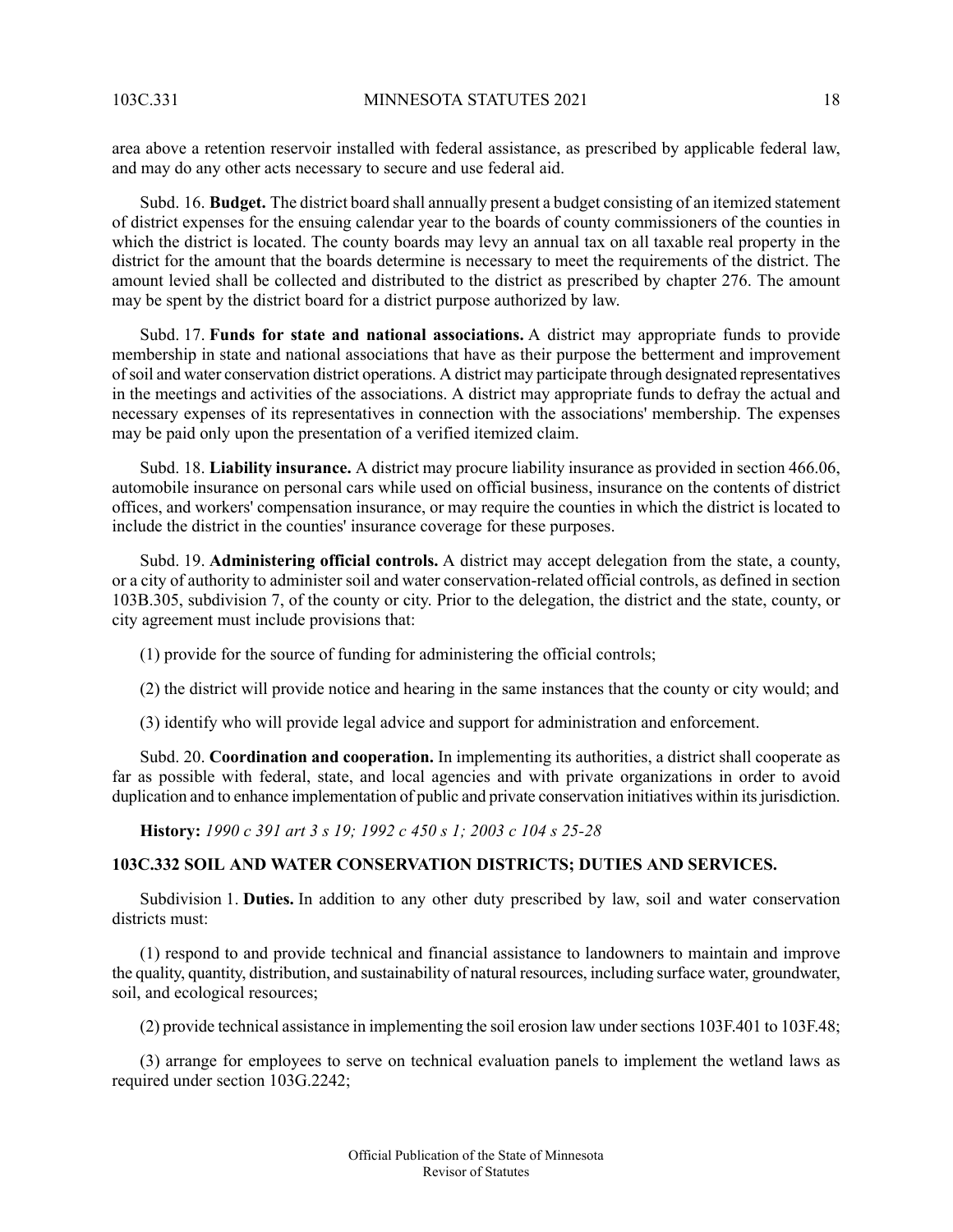area above a retention reservoir installed with federal assistance, as prescribed by applicable federal law, and may do any other acts necessary to secure and use federal aid.

Subd. 16. **Budget.** The district board shall annually present a budget consisting of an itemized statement of district expenses for the ensuing calendar year to the boards of county commissioners of the counties in which the district is located. The county boards may levy an annual tax on all taxable real property in the district for the amount that the boards determine is necessary to meet the requirements of the district. The amount levied shall be collected and distributed to the district as prescribed by chapter 276. The amount may be spent by the district board for a district purpose authorized by law.

Subd. 17. **Funds for state and national associations.** A district may appropriate funds to provide membership in state and national associations that have as their purpose the betterment and improvement ofsoil and water conservation district operations. A district may participate through designated representatives in the meetings and activities of the associations. A district may appropriate funds to defray the actual and necessary expenses of its representatives in connection with the associations' membership. The expenses may be paid only upon the presentation of a verified itemized claim.

Subd. 18. **Liability insurance.** A district may procure liability insurance as provided in section 466.06, automobile insurance on personal cars while used on official business, insurance on the contents of district offices, and workers' compensation insurance, or may require the counties in which the district is located to include the district in the counties' insurance coverage for these purposes.

Subd. 19. **Administering official controls.** A district may accept delegation from the state, a county, or a city of authority to administer soil and water conservation-related official controls, as defined in section 103B.305, subdivision 7, of the county or city. Prior to the delegation, the district and the state, county, or city agreement must include provisions that:

(1) provide for the source of funding for administering the official controls;

(2) the district will provide notice and hearing in the same instances that the county or city would; and

(3) identify who will provide legal advice and support for administration and enforcement.

<span id="page-17-0"></span>Subd. 20. **Coordination and cooperation.** In implementing its authorities, a district shall cooperate as far as possible with federal, state, and local agencies and with private organizations in order to avoid duplication and to enhance implementation of public and private conservation initiatives within its jurisdiction.

**History:** *1990 c 391 art 3 s 19; 1992 c 450 s 1; 2003 c 104 s 25-28*

### **103C.332 SOIL AND WATER CONSERVATION DISTRICTS; DUTIES AND SERVICES.**

Subdivision 1. **Duties.** In addition to any other duty prescribed by law, soil and water conservation districts must:

(1) respond to and provide technical and financial assistance to landowners to maintain and improve the quality, quantity, distribution, and sustainability of natural resources, including surface water, groundwater, soil, and ecological resources;

(2) provide technical assistance in implementing the soil erosion law undersections 103F.401 to 103F.48;

(3) arrange for employees to serve on technical evaluation panels to implement the wetland laws as required under section 103G.2242;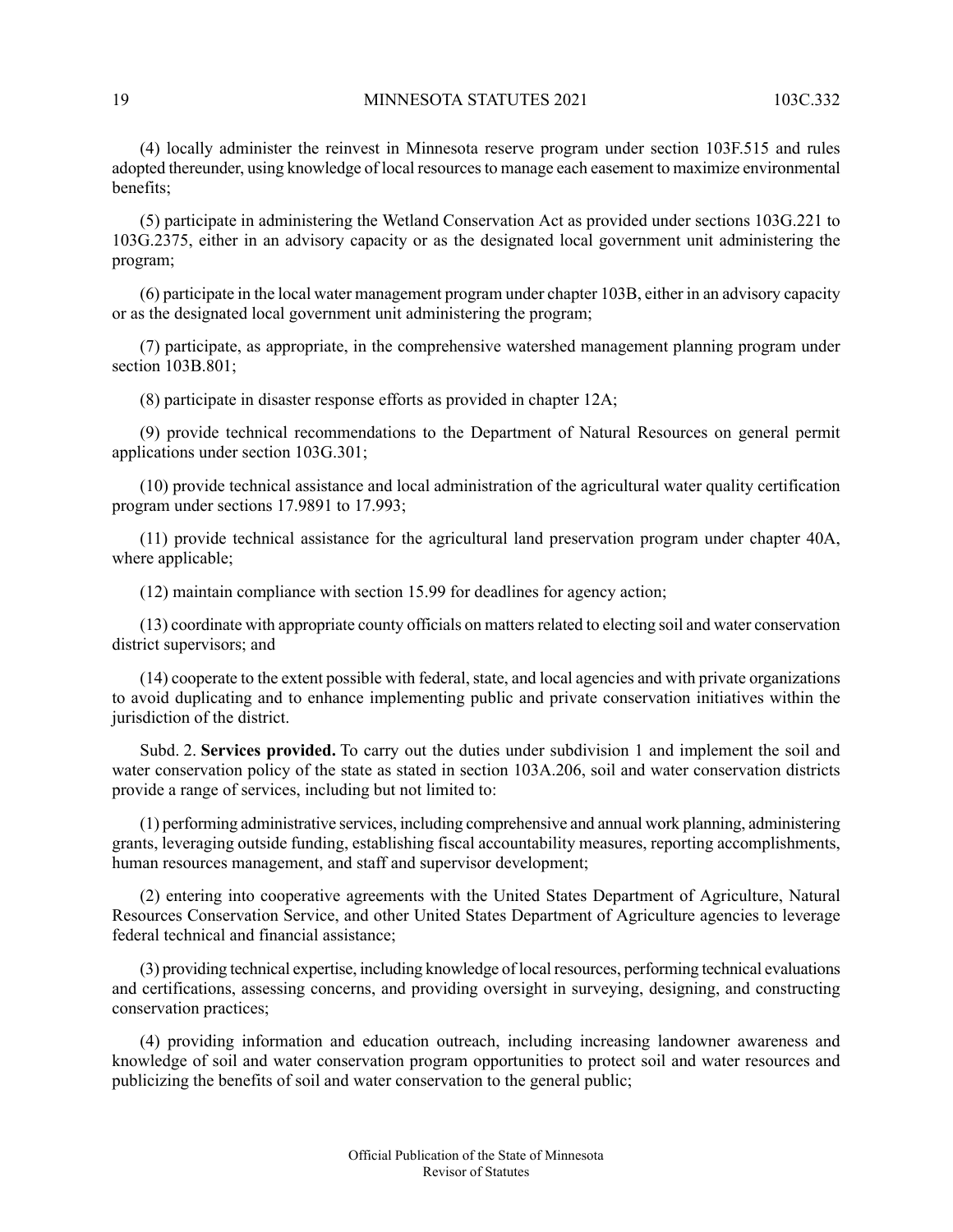(4) locally administer the reinvest in Minnesota reserve program under section 103F.515 and rules adopted thereunder, using knowledge of local resourcesto manage each easement to maximize environmental benefits;

(5) participate in administering the Wetland Conservation Act as provided under sections 103G.221 to 103G.2375, either in an advisory capacity or as the designated local government unit administering the program;

(6) participate in the local water management program under chapter 103B, either in an advisory capacity or as the designated local government unit administering the program;

(7) participate, as appropriate, in the comprehensive watershed management planning program under section 103B.801;

(8) participate in disaster response efforts as provided in chapter 12A;

(9) provide technical recommendations to the Department of Natural Resources on general permit applications under section 103G.301;

(10) provide technical assistance and local administration of the agricultural water quality certification program under sections 17.9891 to 17.993;

(11) provide technical assistance for the agricultural land preservation program under chapter 40A, where applicable;

(12) maintain compliance with section 15.99 for deadlines for agency action;

(13) coordinate with appropriate county officials on mattersrelated to electing soil and water conservation district supervisors; and

 $(14)$  cooperate to the extent possible with federal, state, and local agencies and with private organizations to avoid duplicating and to enhance implementing public and private conservation initiatives within the jurisdiction of the district.

Subd. 2. **Services provided.** To carry out the duties under subdivision 1 and implement the soil and water conservation policy of the state as stated in section 103A.206, soil and water conservation districts provide a range of services, including but not limited to:

(1) performing administrative services, including comprehensive and annual work planning, administering grants, leveraging outside funding, establishing fiscal accountability measures, reporting accomplishments, human resources management, and staff and supervisor development;

(2) entering into cooperative agreements with the United States Department of Agriculture, Natural Resources Conservation Service, and other United States Department of Agriculture agencies to leverage federal technical and financial assistance;

(3) providing technical expertise, including knowledge of local resources, performing technical evaluations and certifications, assessing concerns, and providing oversight in surveying, designing, and constructing conservation practices;

(4) providing information and education outreach, including increasing landowner awareness and knowledge of soil and water conservation program opportunities to protect soil and water resources and publicizing the benefits of soil and water conservation to the general public;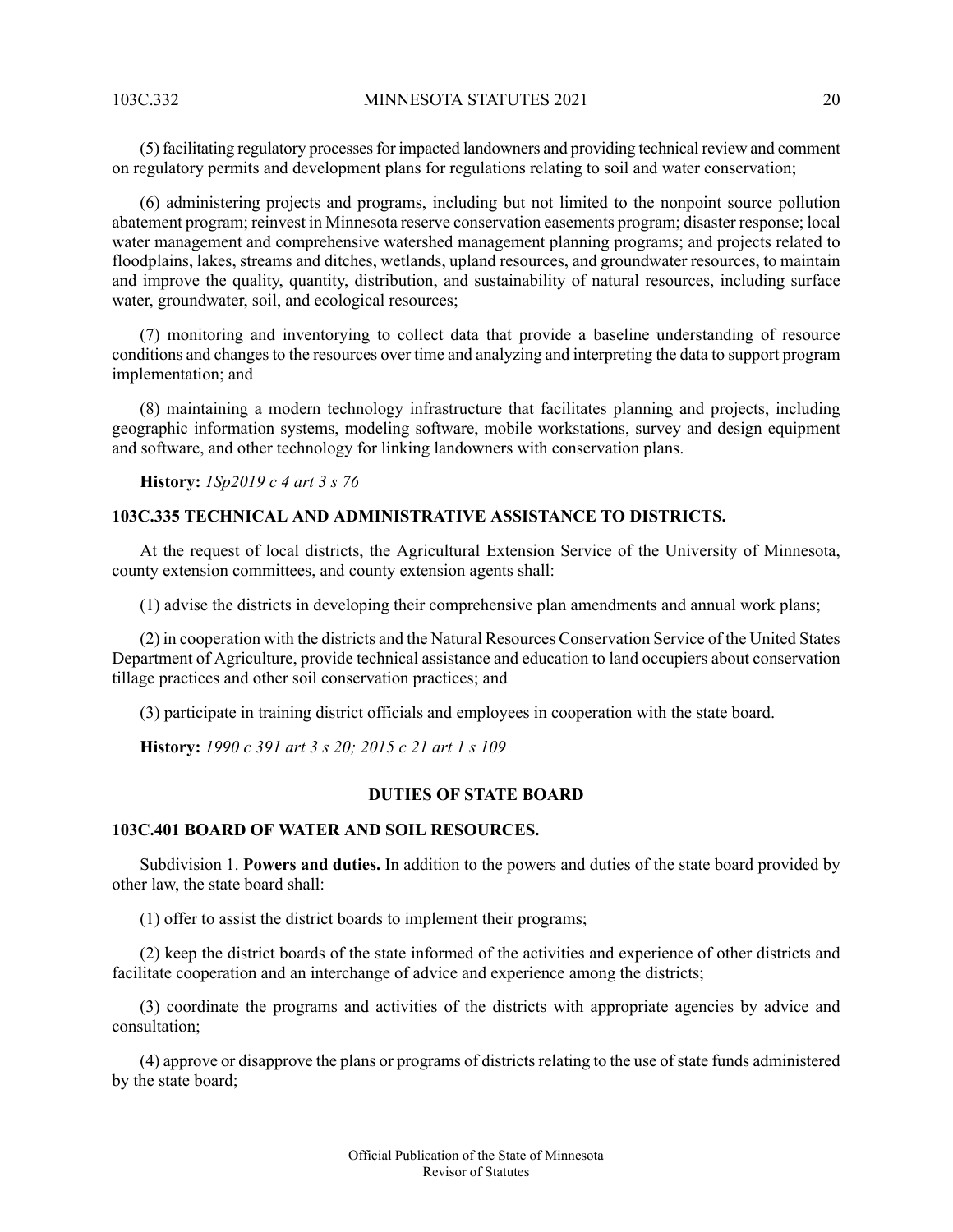(5) facilitating regulatory processesfor impacted landowners and providing technical review and comment on regulatory permits and development plans for regulations relating to soil and water conservation;

(6) administering projects and programs, including but not limited to the nonpoint source pollution abatement program; reinvest in Minnesota reserve conservation easements program; disaster response; local water management and comprehensive watershed management planning programs; and projects related to floodplains, lakes, streams and ditches, wetlands, upland resources, and groundwater resources, to maintain and improve the quality, quantity, distribution, and sustainability of natural resources, including surface water, groundwater, soil, and ecological resources;

(7) monitoring and inventorying to collect data that provide a baseline understanding of resource conditions and changes to the resources over time and analyzing and interpreting the data to support program implementation; and

<span id="page-19-0"></span>(8) maintaining a modern technology infrastructure that facilitates planning and projects, including geographic information systems, modeling software, mobile workstations, survey and design equipment and software, and other technology for linking landowners with conservation plans.

**History:** *1Sp2019 c 4 art 3 s 76*

### **103C.335 TECHNICAL AND ADMINISTRATIVE ASSISTANCE TO DISTRICTS.**

At the request of local districts, the Agricultural Extension Service of the University of Minnesota, county extension committees, and county extension agents shall:

(1) advise the districts in developing their comprehensive plan amendments and annual work plans;

(2) in cooperation with the districts and the Natural Resources Conservation Service of the United States Department of Agriculture, provide technical assistance and education to land occupiers about conservation tillage practices and other soil conservation practices; and

<span id="page-19-2"></span><span id="page-19-1"></span>(3) participate in training district officials and employees in cooperation with the state board.

**History:** *1990 c 391 art 3 s 20; 2015 c 21 art 1 s 109*

### **DUTIES OF STATE BOARD**

### **103C.401 BOARD OF WATER AND SOIL RESOURCES.**

Subdivision 1. **Powers and duties.** In addition to the powers and duties of the state board provided by other law, the state board shall:

(1) offer to assist the district boards to implement their programs;

(2) keep the district boards of the state informed of the activities and experience of other districts and facilitate cooperation and an interchange of advice and experience among the districts;

(3) coordinate the programs and activities of the districts with appropriate agencies by advice and consultation;

(4) approve or disapprove the plans or programs of districts relating to the use of state funds administered by the state board;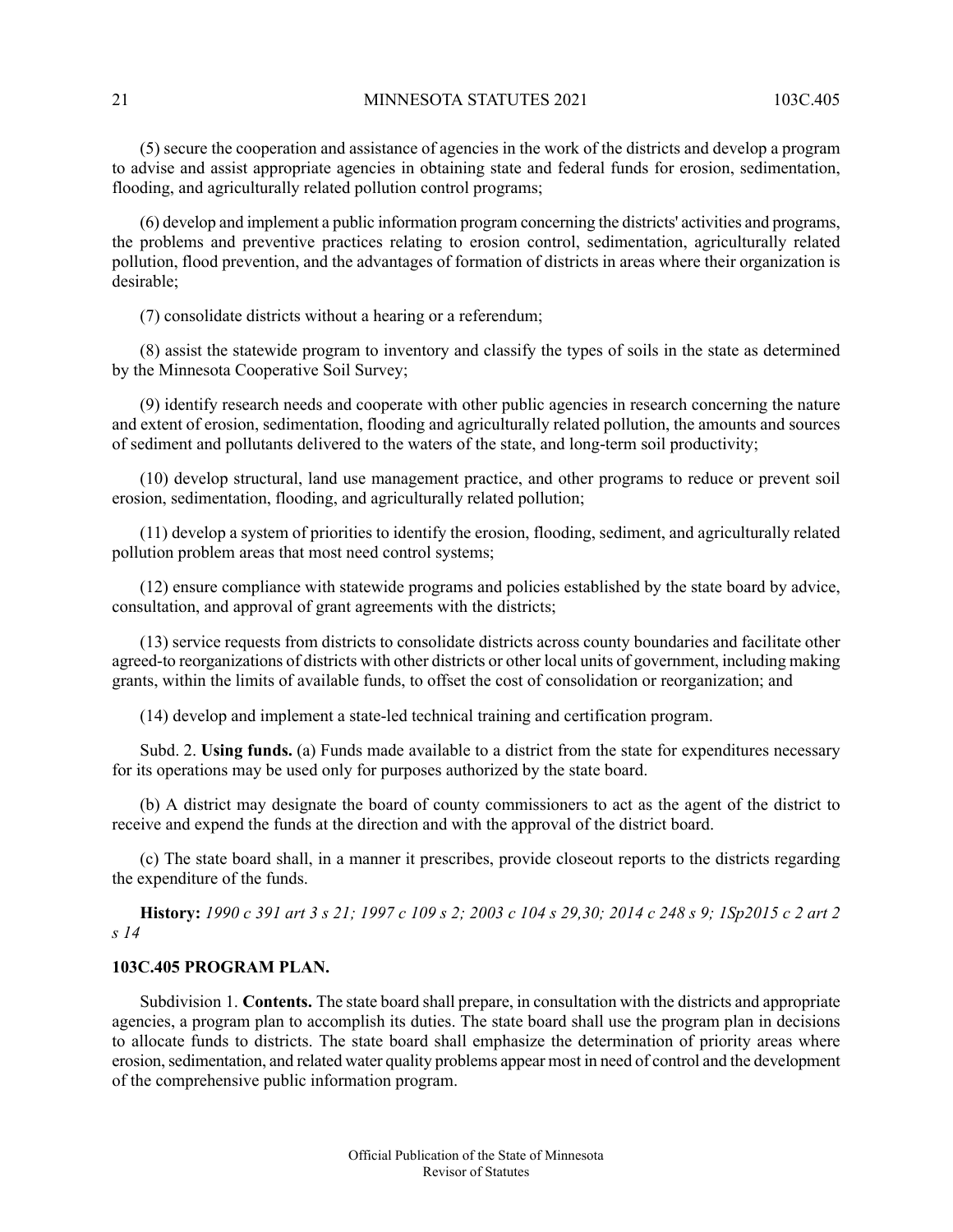(5) secure the cooperation and assistance of agencies in the work of the districts and develop a program to advise and assist appropriate agencies in obtaining state and federal funds for erosion, sedimentation, flooding, and agriculturally related pollution control programs;

(6) develop and implement a public information program concerning the districts' activities and programs, the problems and preventive practices relating to erosion control, sedimentation, agriculturally related pollution, flood prevention, and the advantages of formation of districts in areas where their organization is desirable;

(7) consolidate districts without a hearing or a referendum;

(8) assist the statewide program to inventory and classify the types of soils in the state as determined by the Minnesota Cooperative Soil Survey;

(9) identify research needs and cooperate with other public agencies in research concerning the nature and extent of erosion, sedimentation, flooding and agriculturally related pollution, the amounts and sources of sediment and pollutants delivered to the waters of the state, and long-term soil productivity;

(10) develop structural, land use management practice, and other programs to reduce or prevent soil erosion, sedimentation, flooding, and agriculturally related pollution;

(11) develop a system of priorities to identify the erosion, flooding, sediment, and agriculturally related pollution problem areas that most need control systems;

(12) ensure compliance with statewide programs and policies established by the state board by advice, consultation, and approval of grant agreements with the districts;

(13) service requests from districts to consolidate districts across county boundaries and facilitate other agreed-to reorganizations of districts with other districts or other local units of government, including making grants, within the limits of available funds, to offset the cost of consolidation or reorganization; and

(14) develop and implement a state-led technical training and certification program.

Subd. 2. **Using funds.** (a) Funds made available to a district from the state for expenditures necessary for its operations may be used only for purposes authorized by the state board.

<span id="page-20-0"></span>(b) A district may designate the board of county commissioners to act as the agent of the district to receive and expend the funds at the direction and with the approval of the district board.

(c) The state board shall, in a manner it prescribes, provide closeout reports to the districts regarding the expenditure of the funds.

History: 1990 c 391 art 3 s 21; 1997 c 109 s 2; 2003 c 104 s 29,30; 2014 c 248 s 9; 1Sp2015 c 2 art 2 *s 14*

### **103C.405 PROGRAM PLAN.**

Subdivision 1. **Contents.** The state board shall prepare, in consultation with the districts and appropriate agencies, a program plan to accomplish its duties. The state board shall use the program plan in decisions to allocate funds to districts. The state board shall emphasize the determination of priority areas where erosion, sedimentation, and related water quality problems appear most in need of control and the development of the comprehensive public information program.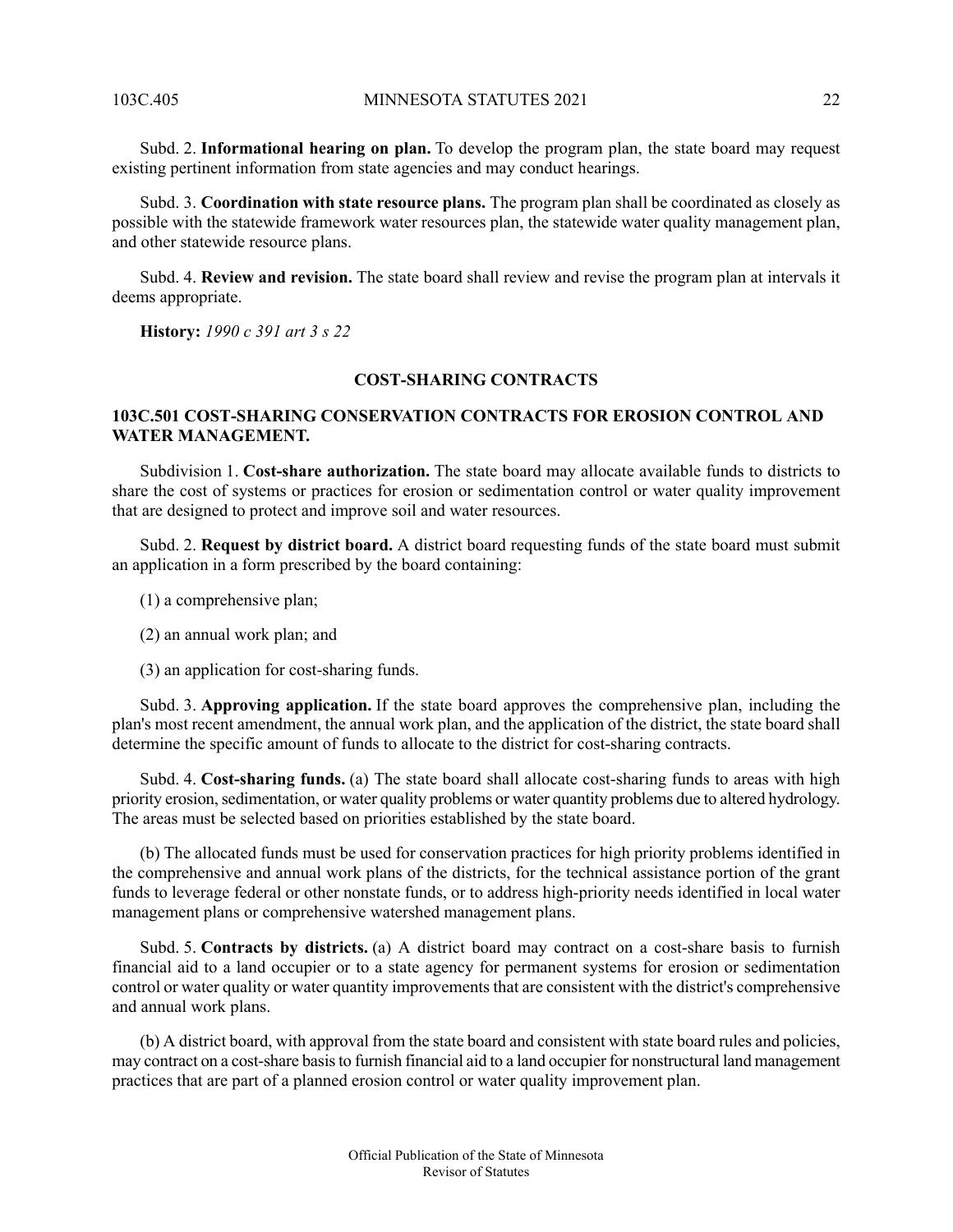Subd. 2. **Informational hearing on plan.** To develop the program plan, the state board may request existing pertinent information from state agencies and may conduct hearings.

Subd. 3. **Coordination with state resource plans.** The program plan shall be coordinated as closely as possible with the statewide framework water resources plan, the statewide water quality management plan, and other statewide resource plans.

Subd. 4. **Review and revision.** The state board shall review and revise the program plan at intervals it deems appropriate.

<span id="page-21-1"></span><span id="page-21-0"></span>**History:** *1990 c 391 art 3 s 22*

#### **COST-SHARING CONTRACTS**

### **103C.501 COST-SHARING CONSERVATION CONTRACTS FOR EROSION CONTROL AND WATER MANAGEMENT.**

Subdivision 1. **Cost-share authorization.** The state board may allocate available funds to districts to share the cost of systems or practices for erosion or sedimentation control or water quality improvement that are designed to protect and improve soil and water resources.

Subd. 2. **Request by district board.** A district board requesting funds of the state board must submit an application in a form prescribed by the board containing:

- (1) a comprehensive plan;
- (2) an annual work plan; and
- (3) an application for cost-sharing funds.

Subd. 3. **Approving application.** If the state board approves the comprehensive plan, including the plan's most recent amendment, the annual work plan, and the application of the district, the state board shall determine the specific amount of funds to allocate to the district for cost-sharing contracts.

Subd. 4. **Cost-sharing funds.** (a) The state board shall allocate cost-sharing funds to areas with high priority erosion,sedimentation, or water quality problems or water quantity problems due to altered hydrology. The areas must be selected based on priorities established by the state board.

(b) The allocated funds must be used for conservation practices for high priority problems identified in the comprehensive and annual work plans of the districts, for the technical assistance portion of the grant funds to leverage federal or other nonstate funds, or to address high-priority needs identified in local water management plans or comprehensive watershed management plans.

Subd. 5. **Contracts by districts.** (a) A district board may contract on a cost-share basis to furnish financial aid to a land occupier or to a state agency for permanent systems for erosion or sedimentation control or water quality or water quantity improvements that are consistent with the district's comprehensive and annual work plans.

(b) A district board, with approval from the state board and consistent with state board rules and policies, may contract on a cost-share basisto furnish financial aid to a land occupier for nonstructural land management practices that are part of a planned erosion control or water quality improvement plan.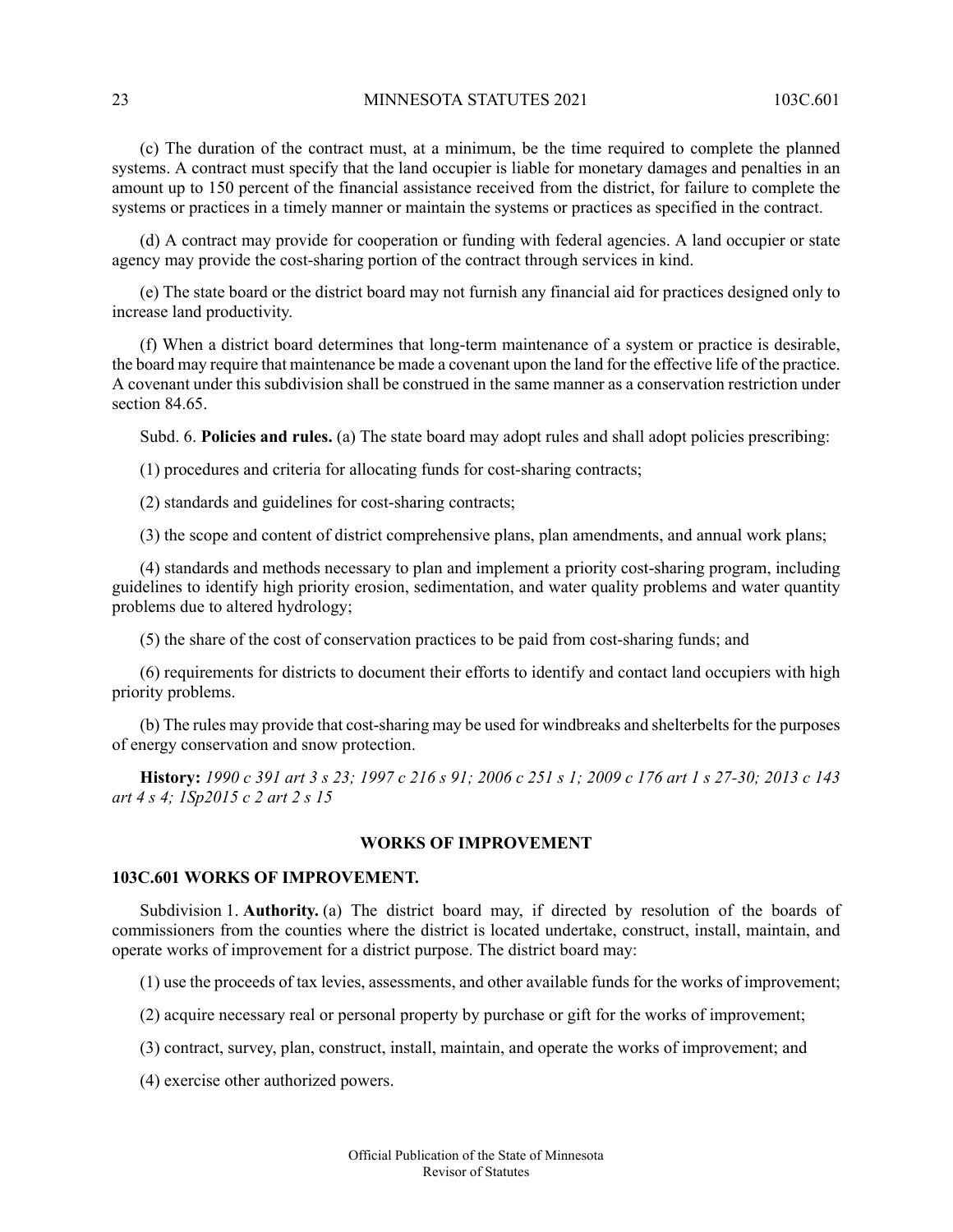(c) The duration of the contract must, at a minimum, be the time required to complete the planned systems. A contract must specify that the land occupier is liable for monetary damages and penalties in an amount up to 150 percent of the financial assistance received from the district, for failure to complete the systems or practices in a timely manner or maintain the systems or practices as specified in the contract.

(d) A contract may provide for cooperation or funding with federal agencies. A land occupier or state agency may provide the cost-sharing portion of the contract through services in kind.

(e) The state board or the district board may not furnish any financial aid for practices designed only to increase land productivity.

(f) When a district board determines that long-term maintenance of a system or practice is desirable, the board may require that maintenance be made a covenant upon the land for the effective life of the practice. A covenant under this subdivision shall be construed in the same manner as a conservation restriction under section 84.65.

Subd. 6. **Policies and rules.** (a) The state board may adopt rules and shall adopt policies prescribing:

(1) procedures and criteria for allocating funds for cost-sharing contracts;

(2) standards and guidelines for cost-sharing contracts;

(3) the scope and content of district comprehensive plans, plan amendments, and annual work plans;

(4) standards and methods necessary to plan and implement a priority cost-sharing program, including guidelines to identify high priority erosion, sedimentation, and water quality problems and water quantity problems due to altered hydrology;

(5) the share of the cost of conservation practices to be paid from cost-sharing funds; and

(6) requirements for districts to document their efforts to identify and contact land occupiers with high priority problems.

<span id="page-22-0"></span>(b) The rules may provide that cost-sharing may be used for windbreaks and shelterbelts for the purposes of energy conservation and snow protection.

<span id="page-22-1"></span>History: 1990 c 391 art 3 s 23; 1997 c 216 s 91; 2006 c 251 s 1; 2009 c 176 art 1 s 27-30; 2013 c 143 *art 4 s 4; 1Sp2015 c 2 art 2 s 15*

#### **WORKS OF IMPROVEMENT**

### **103C.601 WORKS OF IMPROVEMENT.**

Subdivision 1. **Authority.** (a) The district board may, if directed by resolution of the boards of commissioners from the counties where the district is located undertake, construct, install, maintain, and operate works of improvement for a district purpose. The district board may:

(1) use the proceeds of tax levies, assessments, and other available funds for the works of improvement;

- (2) acquire necessary real or personal property by purchase or gift for the works of improvement;
- (3) contract, survey, plan, construct, install, maintain, and operate the works of improvement; and

(4) exercise other authorized powers.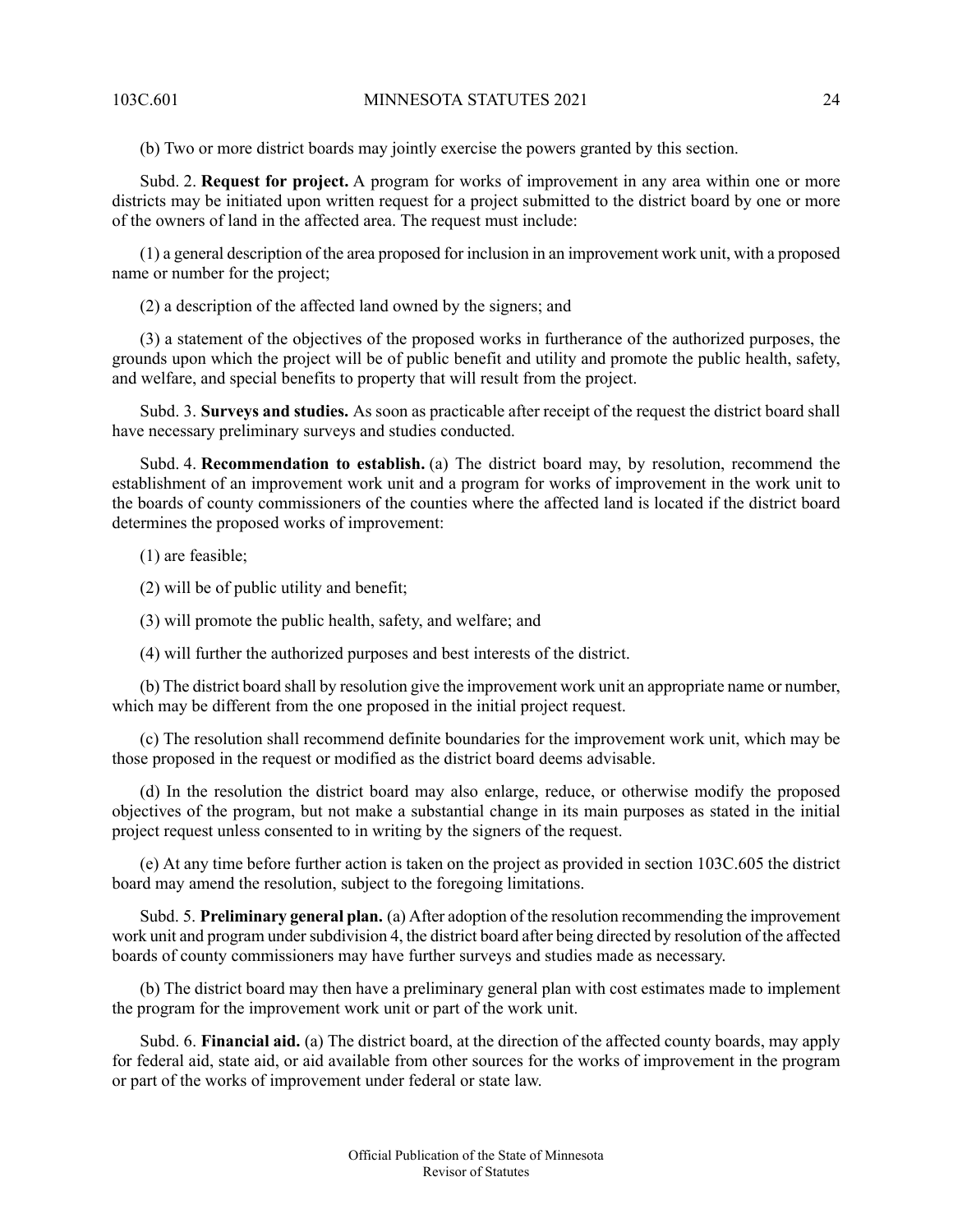(b) Two or more district boards may jointly exercise the powers granted by this section.

Subd. 2. **Request for project.** A program for works of improvement in any area within one or more districts may be initiated upon written request for a project submitted to the district board by one or more of the owners of land in the affected area. The request must include:

(1) a general description of the area proposed for inclusion in an improvement work unit, with a proposed name or number for the project;

(2) a description of the affected land owned by the signers; and

(3) a statement of the objectives of the proposed works in furtherance of the authorized purposes, the grounds upon which the project will be of public benefit and utility and promote the public health, safety, and welfare, and special benefits to property that will result from the project.

Subd. 3. **Surveys and studies.** As soon as practicable after receipt of the request the district board shall have necessary preliminary surveys and studies conducted.

Subd. 4. **Recommendation to establish.** (a) The district board may, by resolution, recommend the establishment of an improvement work unit and a program for works of improvement in the work unit to the boards of county commissioners of the counties where the affected land is located if the district board determines the proposed works of improvement:

(1) are feasible;

(2) will be of public utility and benefit;

(3) will promote the public health, safety, and welfare; and

(4) will further the authorized purposes and best interests of the district.

(b) The district board shall by resolution give the improvement work unit an appropriate name or number, which may be different from the one proposed in the initial project request.

(c) The resolution shall recommend definite boundaries for the improvement work unit, which may be those proposed in the request or modified as the district board deems advisable.

(d) In the resolution the district board may also enlarge, reduce, or otherwise modify the proposed objectives of the program, but not make a substantial change in its main purposes as stated in the initial project request unless consented to in writing by the signers of the request.

(e) At any time before further action is taken on the project as provided in section 103C.605 the district board may amend the resolution, subject to the foregoing limitations.

Subd. 5. **Preliminary general plan.** (a) After adoption of the resolution recommending the improvement work unit and program under subdivision 4, the district board after being directed by resolution of the affected boards of county commissioners may have further surveys and studies made as necessary.

(b) The district board may then have a preliminary general plan with cost estimates made to implement the program for the improvement work unit or part of the work unit.

Subd. 6. **Financial aid.** (a) The district board, at the direction of the affected county boards, may apply for federal aid, state aid, or aid available from other sources for the works of improvement in the program or part of the works of improvement under federal or state law.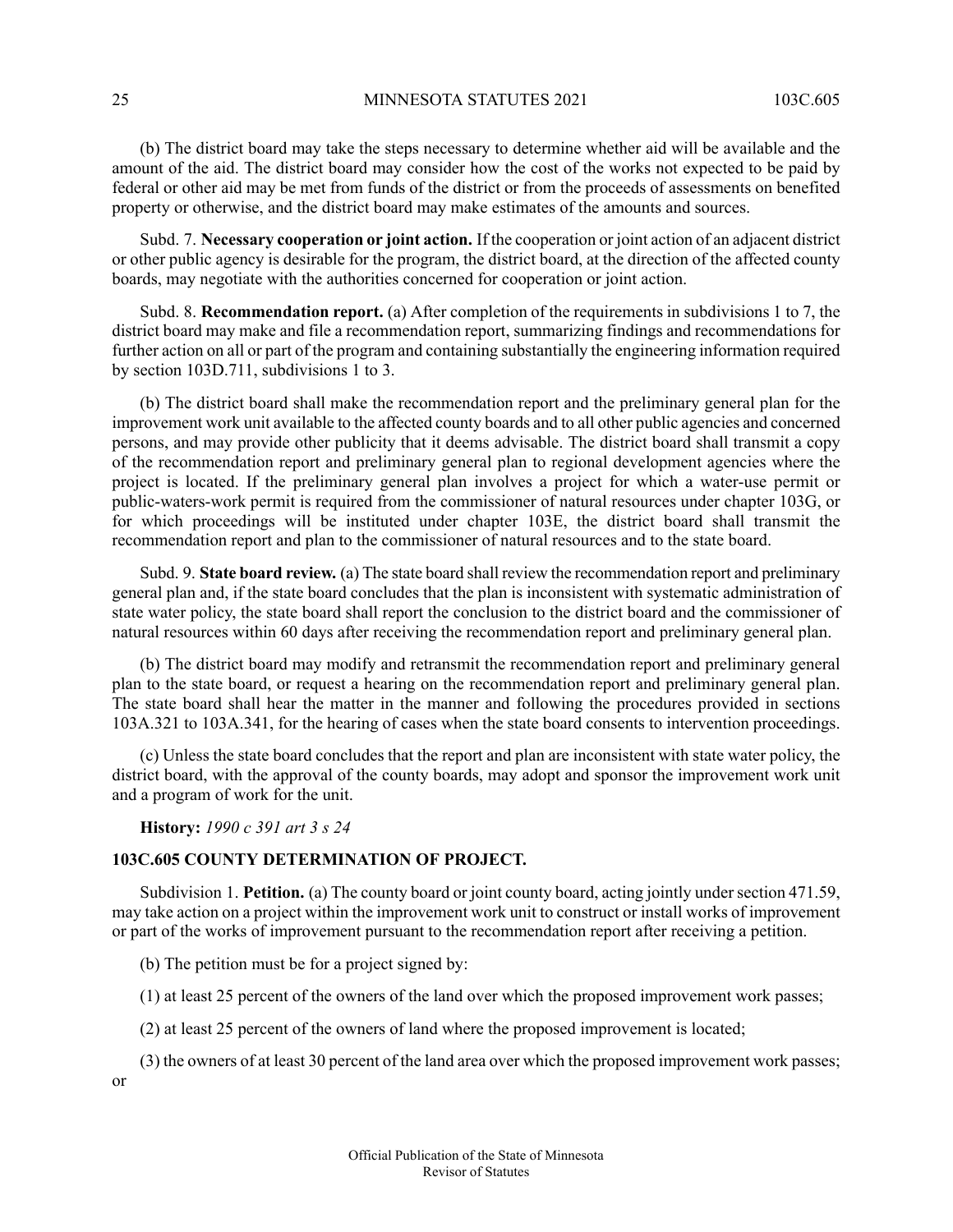25 MINNESOTA STATUTES 2021 103C 605

(b) The district board may take the steps necessary to determine whether aid will be available and the amount of the aid. The district board may consider how the cost of the works not expected to be paid by federal or other aid may be met from funds of the district or from the proceeds of assessments on benefited property or otherwise, and the district board may make estimates of the amounts and sources.

Subd. 7. **Necessary cooperation or joint action.** If the cooperation or joint action of an adjacent district or other public agency is desirable for the program, the district board, at the direction of the affected county boards, may negotiate with the authorities concerned for cooperation or joint action.

Subd. 8. **Recommendation report.** (a) After completion of the requirements in subdivisions 1 to 7, the district board may make and file a recommendation report, summarizing findings and recommendations for further action on all or part of the program and containing substantially the engineering information required by section 103D.711, subdivisions 1 to 3.

(b) The district board shall make the recommendation report and the preliminary general plan for the improvement work unit available to the affected county boards and to all other public agencies and concerned persons, and may provide other publicity that it deems advisable. The district board shall transmit a copy of the recommendation report and preliminary general plan to regional development agencies where the project is located. If the preliminary general plan involves a project for which a water-use permit or public-waters-work permit is required from the commissioner of natural resources under chapter 103G, or for which proceedings will be instituted under chapter 103E, the district board shall transmit the recommendation report and plan to the commissioner of natural resources and to the state board.

Subd. 9. **State board review.** (a) The state board shall review the recommendation report and preliminary general plan and, if the state board concludes that the plan is inconsistent with systematic administration of state water policy, the state board shall report the conclusion to the district board and the commissioner of natural resources within 60 days after receiving the recommendation report and preliminary general plan.

(b) The district board may modify and retransmit the recommendation report and preliminary general plan to the state board, or request a hearing on the recommendation report and preliminary general plan. The state board shall hear the matter in the manner and following the procedures provided in sections 103A.321 to 103A.341, for the hearing of cases when the state board consents to intervention proceedings.

<span id="page-24-0"></span>(c) Unless the state board concludes that the report and plan are inconsistent with state water policy, the district board, with the approval of the county boards, may adopt and sponsor the improvement work unit and a program of work for the unit.

**History:** *1990 c 391 art 3 s 24*

### **103C.605 COUNTY DETERMINATION OF PROJECT.**

Subdivision 1. **Petition.** (a) The county board or joint county board, acting jointly under section 471.59, may take action on a project within the improvement work unit to construct or install works of improvement or part of the works of improvement pursuant to the recommendation report after receiving a petition.

(b) The petition must be for a project signed by:

(1) at least 25 percent of the owners of the land over which the proposed improvement work passes;

(2) at least 25 percent of the owners of land where the proposed improvement is located;

(3) the owners of at least 30 percent of the land area over which the proposed improvement work passes;

or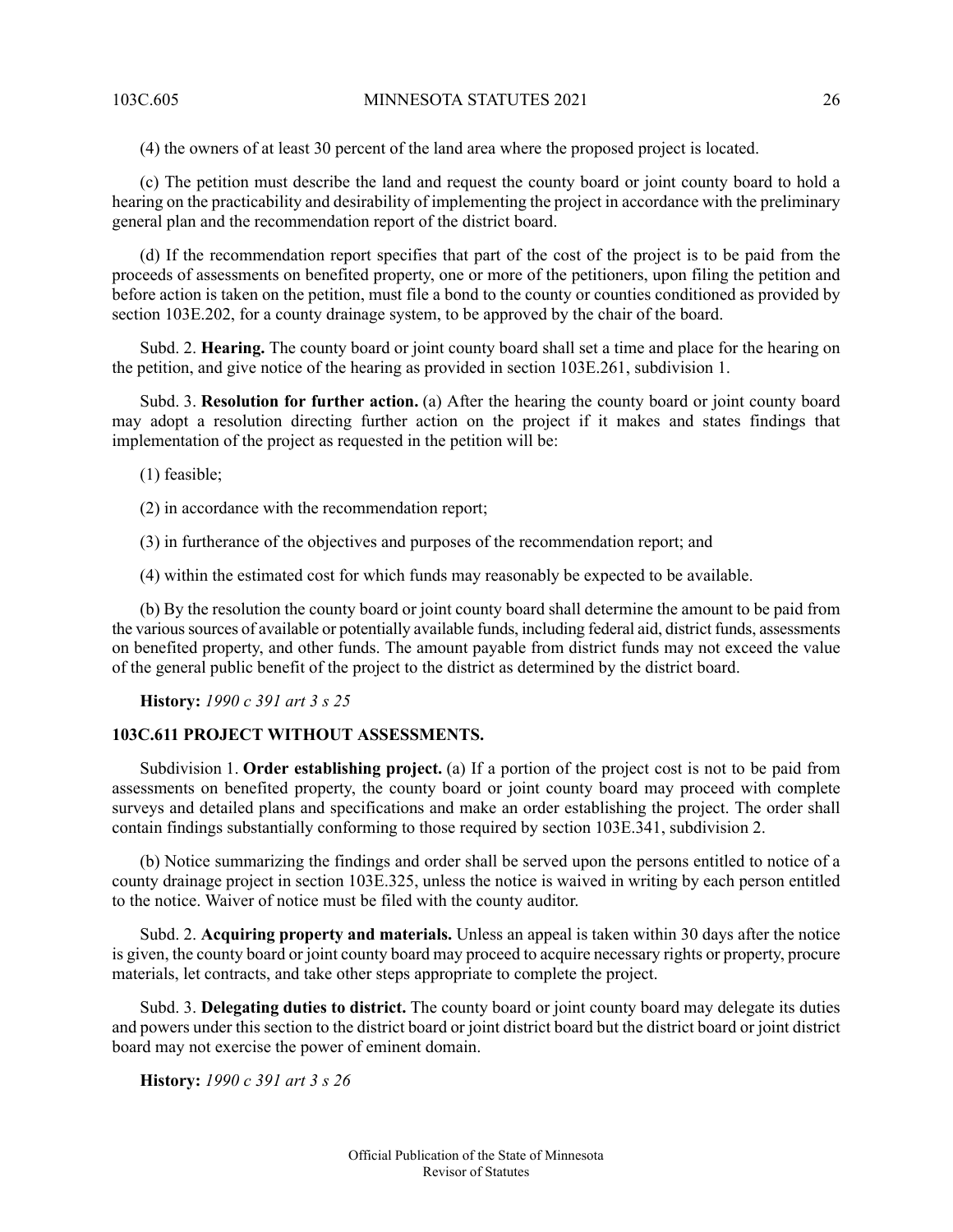(4) the owners of at least 30 percent of the land area where the proposed project is located.

(c) The petition must describe the land and request the county board or joint county board to hold a hearing on the practicability and desirability of implementing the project in accordance with the preliminary general plan and the recommendation report of the district board.

(d) If the recommendation report specifies that part of the cost of the project is to be paid from the proceeds of assessments on benefited property, one or more of the petitioners, upon filing the petition and before action is taken on the petition, must file a bond to the county or counties conditioned as provided by section 103E.202, for a county drainage system, to be approved by the chair of the board.

Subd. 2. **Hearing.** The county board or joint county board shall set a time and place for the hearing on the petition, and give notice of the hearing as provided in section 103E.261, subdivision 1.

Subd. 3. **Resolution for further action.** (a) After the hearing the county board or joint county board may adopt a resolution directing further action on the project if it makes and states findings that implementation of the project as requested in the petition will be:

(1) feasible;

(2) in accordance with the recommendation report;

(3) in furtherance of the objectives and purposes of the recommendation report; and

(4) within the estimated cost for which funds may reasonably be expected to be available.

<span id="page-25-0"></span>(b) By the resolution the county board or joint county board shall determine the amount to be paid from the varioussources of available or potentially available funds, including federal aid, district funds, assessments on benefited property, and other funds. The amount payable from district funds may not exceed the value of the general public benefit of the project to the district as determined by the district board.

**History:** *1990 c 391 art 3 s 25*

#### **103C.611 PROJECT WITHOUT ASSESSMENTS.**

Subdivision 1. **Order establishing project.** (a) If a portion of the project cost is not to be paid from assessments on benefited property, the county board or joint county board may proceed with complete surveys and detailed plans and specifications and make an order establishing the project. The order shall contain findings substantially conforming to those required by section 103E.341, subdivision 2.

(b) Notice summarizing the findings and order shall be served upon the persons entitled to notice of a county drainage project in section 103E.325, unless the notice is waived in writing by each person entitled to the notice. Waiver of notice must be filed with the county auditor.

<span id="page-25-1"></span>Subd. 2. **Acquiring property and materials.** Unless an appeal is taken within 30 days after the notice is given, the county board or joint county board may proceed to acquire necessary rights or property, procure materials, let contracts, and take other steps appropriate to complete the project.

Subd. 3. **Delegating duties to district.** The county board or joint county board may delegate its duties and powers under this section to the district board or joint district board but the district board or joint district board may not exercise the power of eminent domain.

**History:** *1990 c 391 art 3 s 26*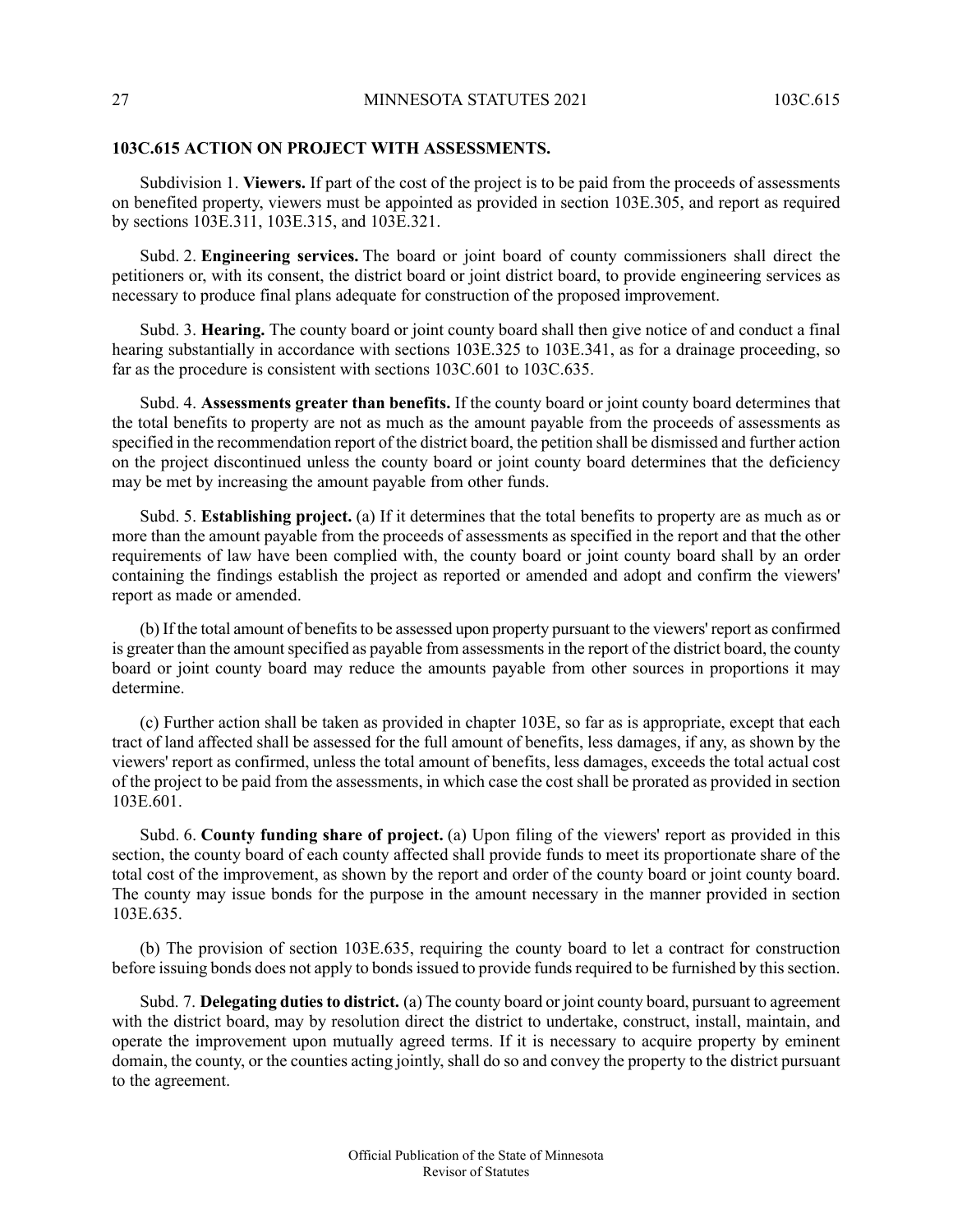#### **103C.615 ACTION ON PROJECT WITH ASSESSMENTS.**

Subdivision 1. **Viewers.** If part of the cost of the project is to be paid from the proceeds of assessments on benefited property, viewers must be appointed as provided in section 103E.305, and report as required by sections 103E.311, 103E.315, and 103E.321.

Subd. 2. **Engineering services.** The board or joint board of county commissioners shall direct the petitioners or, with its consent, the district board or joint district board, to provide engineering services as necessary to produce final plans adequate for construction of the proposed improvement.

Subd. 3. **Hearing.** The county board or joint county board shall then give notice of and conduct a final hearing substantially in accordance with sections 103E.325 to 103E.341, as for a drainage proceeding, so far as the procedure is consistent with sections 103C.601 to 103C.635.

Subd. 4. **Assessments greater than benefits.** If the county board or joint county board determines that the total benefits to property are not as much as the amount payable from the proceeds of assessments as specified in the recommendation report of the district board, the petition shall be dismissed and further action on the project discontinued unless the county board or joint county board determines that the deficiency may be met by increasing the amount payable from other funds.

Subd. 5. **Establishing project.** (a) If it determines that the total benefits to property are as much as or more than the amount payable from the proceeds of assessments as specified in the report and that the other requirements of law have been complied with, the county board or joint county board shall by an order containing the findings establish the project as reported or amended and adopt and confirm the viewers' report as made or amended.

(b) If the total amount of benefitsto be assessed upon property pursuant to the viewers' report as confirmed is greater than the amount specified as payable from assessments in the report of the district board, the county board or joint county board may reduce the amounts payable from other sources in proportions it may determine.

(c) Further action shall be taken as provided in chapter 103E, so far as is appropriate, except that each tract of land affected shall be assessed for the full amount of benefits, less damages, if any, as shown by the viewers' report as confirmed, unless the total amount of benefits, less damages, exceeds the total actual cost of the project to be paid from the assessments, in which case the cost shall be prorated as provided in section 103E.601.

Subd. 6. **County funding share of project.** (a) Upon filing of the viewers' report as provided in this section, the county board of each county affected shall provide funds to meet its proportionate share of the total cost of the improvement, as shown by the report and order of the county board or joint county board. The county may issue bonds for the purpose in the amount necessary in the manner provided in section 103E.635.

(b) The provision of section 103E.635, requiring the county board to let a contract for construction before issuing bonds does not apply to bonds issued to provide funds required to be furnished by this section.

Subd. 7. **Delegating duties to district.** (a) The county board or joint county board, pursuant to agreement with the district board, may by resolution direct the district to undertake, construct, install, maintain, and operate the improvement upon mutually agreed terms. If it is necessary to acquire property by eminent domain, the county, or the counties acting jointly, shall do so and convey the property to the district pursuant to the agreement.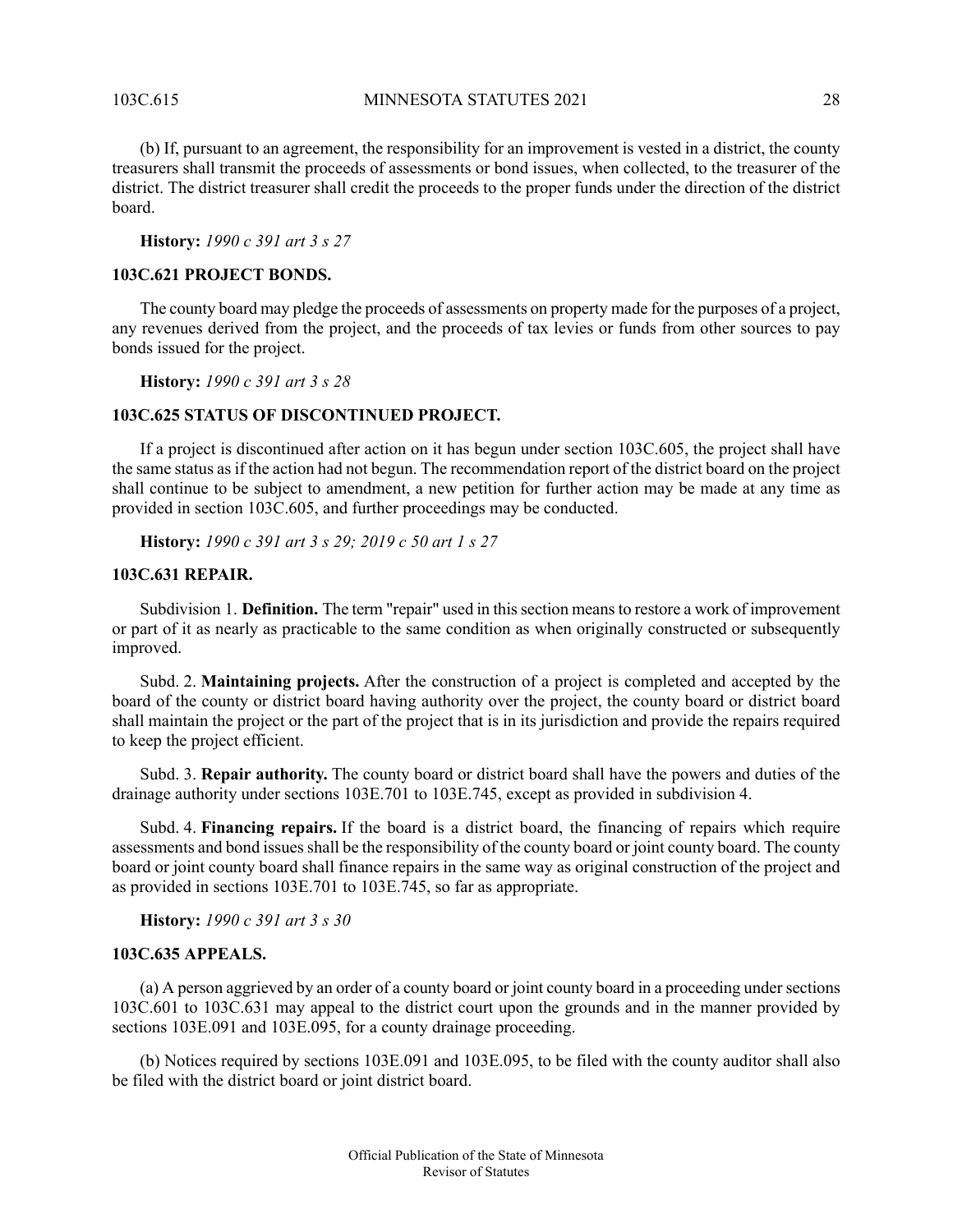103C.615 MINNESOTA STATUTES 2021 28

(b) If, pursuant to an agreement, the responsibility for an improvement is vested in a district, the county treasurers shall transmit the proceeds of assessments or bond issues, when collected, to the treasurer of the district. The district treasurer shall credit the proceeds to the proper funds under the direction of the district board.

<span id="page-27-0"></span>**History:** *1990 c 391 art 3 s 27*

#### **103C.621 PROJECT BONDS.**

The county board may pledge the proceeds of assessments on property made for the purposes of a project, any revenues derived from the project, and the proceeds of tax levies or funds from other sources to pay bonds issued for the project.

<span id="page-27-1"></span>**History:** *1990 c 391 art 3 s 28*

#### **103C.625 STATUS OF DISCONTINUED PROJECT.**

<span id="page-27-2"></span>If a project is discontinued after action on it has begun under section 103C.605, the project shall have the same status as if the action had not begun. The recommendation report of the district board on the project shall continue to be subject to amendment, a new petition for further action may be made at any time as provided in section 103C.605, and further proceedings may be conducted.

**History:** *1990 c 391 art 3 s 29; 2019 c 50 art 1 s 27*

#### **103C.631 REPAIR.**

Subdivision 1. **Definition.** The term "repair" used in this section means to restore a work of improvement or part of it as nearly as practicable to the same condition as when originally constructed or subsequently improved.

Subd. 2. **Maintaining projects.** After the construction of a project is completed and accepted by the board of the county or district board having authority over the project, the county board or district board shall maintain the project or the part of the project that is in its jurisdiction and provide the repairs required to keep the project efficient.

Subd. 3. **Repair authority.** The county board or district board shall have the powers and duties of the drainage authority under sections 103E.701 to 103E.745, except as provided in subdivision 4.

<span id="page-27-3"></span>Subd. 4. **Financing repairs.** If the board is a district board, the financing of repairs which require assessments and bond issues shall be the responsibility of the county board or joint county board. The county board or joint county board shall finance repairs in the same way as original construction of the project and as provided in sections 103E.701 to 103E.745, so far as appropriate.

**History:** *1990 c 391 art 3 s 30*

#### **103C.635 APPEALS.**

(a) A person aggrieved by an order of a county board or joint county board in a proceeding undersections 103C.601 to 103C.631 may appeal to the district court upon the grounds and in the manner provided by sections 103E.091 and 103E.095, for a county drainage proceeding.

(b) Notices required by sections 103E.091 and 103E.095, to be filed with the county auditor shall also be filed with the district board or joint district board.